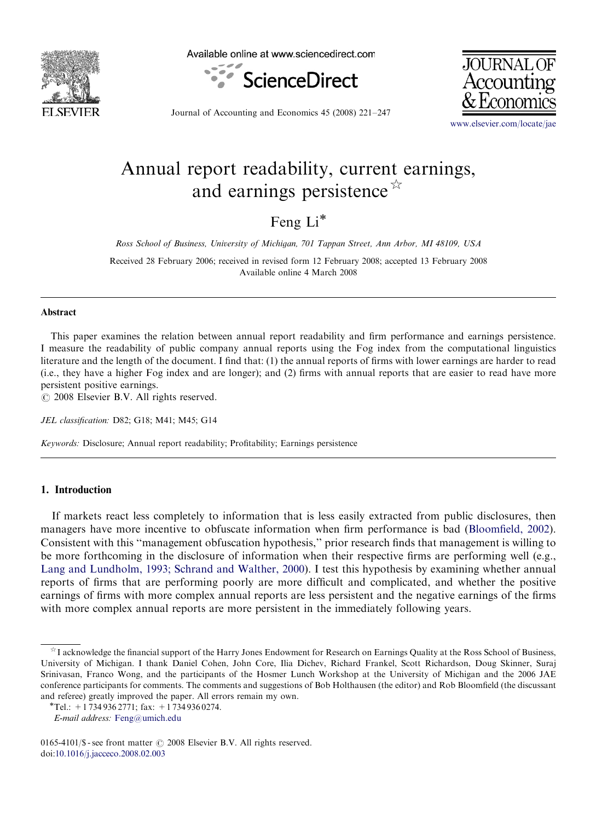

Available online at www.sciencedirect.com





Journal of Accounting and Economics 45 (2008) 221–247

<www.elsevier.com/locate/jae>

# Annual report readability, current earnings, and earnings persistence  $\overrightarrow{x}$

Feng Li<sup>\*</sup>

Ross School of Business, University of Michigan, 701 Tappan Street, Ann Arbor, MI 48109, USA

Received 28 February 2006; received in revised form 12 February 2008; accepted 13 February 2008 Available online 4 March 2008

#### Abstract

This paper examines the relation between annual report readability and firm performance and earnings persistence. I measure the readability of public company annual reports using the Fog index from the computational linguistics literature and the length of the document. I find that: (1) the annual reports of firms with lower earnings are harder to read (i.e., they have a higher Fog index and are longer); and (2) firms with annual reports that are easier to read have more persistent positive earnings.

 $O$  2008 Elsevier B.V. All rights reserved.

JEL classification: D82; G18; M41; M45; G14

Keywords: Disclosure; Annual report readability; Profitability; Earnings persistence

# 1. Introduction

If markets react less completely to information that is less easily extracted from public disclosures, then managers have more incentive to obfuscate information when firm performance is bad ([Bloomfield, 2002](#page-25-0)). Consistent with this ''management obfuscation hypothesis,'' prior research finds that management is willing to be more forthcoming in the disclosure of information when their respective firms are performing well (e.g., [Lang and Lundholm, 1993; Schrand and Walther, 2000\)](#page-26-0). I test this hypothesis by examining whether annual reports of firms that are performing poorly are more difficult and complicated, and whether the positive earnings of firms with more complex annual reports are less persistent and the negative earnings of the firms with more complex annual reports are more persistent in the immediately following years.

0165-4101/\$ - see front matter  $\odot$  2008 Elsevier B.V. All rights reserved. doi:[10.1016/j.jacceco.2008.02.003](dx.doi.org/10.1016/j.jacceco.2008.02.003)

 $\hat{z}$ I acknowledge the financial support of the Harry Jones Endowment for Research on Earnings Quality at the Ross School of Business, University of Michigan. I thank Daniel Cohen, John Core, Ilia Dichev, Richard Frankel, Scott Richardson, Doug Skinner, Suraj Srinivasan, Franco Wong, and the participants of the Hosmer Lunch Workshop at the University of Michigan and the 2006 JAE conference participants for comments. The comments and suggestions of Bob Holthausen (the editor) and Rob Bloomfield (the discussant and referee) greatly improved the paper. All errors remain my own.

<sup>\*</sup>Tel.: +1 734 936 2771; fax: +1 734 936 0274.

E-mail address: [Feng@umich.edu](mailto:Feng@umich.edu)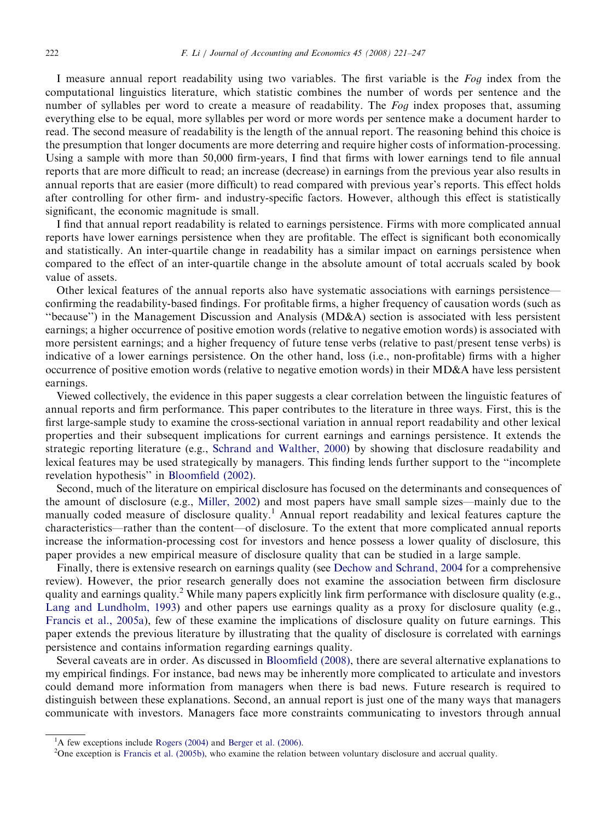I measure annual report readability using two variables. The first variable is the Fog index from the computational linguistics literature, which statistic combines the number of words per sentence and the number of syllables per word to create a measure of readability. The Fog index proposes that, assuming everything else to be equal, more syllables per word or more words per sentence make a document harder to read. The second measure of readability is the length of the annual report. The reasoning behind this choice is the presumption that longer documents are more deterring and require higher costs of information-processing. Using a sample with more than 50,000 firm-years, I find that firms with lower earnings tend to file annual reports that are more difficult to read; an increase (decrease) in earnings from the previous year also results in annual reports that are easier (more difficult) to read compared with previous year's reports. This effect holds after controlling for other firm- and industry-specific factors. However, although this effect is statistically significant, the economic magnitude is small.

I find that annual report readability is related to earnings persistence. Firms with more complicated annual reports have lower earnings persistence when they are profitable. The effect is significant both economically and statistically. An inter-quartile change in readability has a similar impact on earnings persistence when compared to the effect of an inter-quartile change in the absolute amount of total accruals scaled by book value of assets.

Other lexical features of the annual reports also have systematic associations with earnings persistence confirming the readability-based findings. For profitable firms, a higher frequency of causation words (such as ''because'') in the Management Discussion and Analysis (MD&A) section is associated with less persistent earnings; a higher occurrence of positive emotion words (relative to negative emotion words) is associated with more persistent earnings; and a higher frequency of future tense verbs (relative to past/present tense verbs) is indicative of a lower earnings persistence. On the other hand, loss (i.e., non-profitable) firms with a higher occurrence of positive emotion words (relative to negative emotion words) in their MD&A have less persistent earnings.

Viewed collectively, the evidence in this paper suggests a clear correlation between the linguistic features of annual reports and firm performance. This paper contributes to the literature in three ways. First, this is the first large-sample study to examine the cross-sectional variation in annual report readability and other lexical properties and their subsequent implications for current earnings and earnings persistence. It extends the strategic reporting literature (e.g., [Schrand and Walther, 2000](#page-26-0)) by showing that disclosure readability and lexical features may be used strategically by managers. This finding lends further support to the ''incomplete revelation hypothesis'' in [Bloomfield \(2002\).](#page-25-0)

Second, much of the literature on empirical disclosure has focused on the determinants and consequences of the amount of disclosure (e.g., [Miller, 2002\)](#page-26-0) and most papers have small sample sizes—mainly due to the manually coded measure of disclosure quality.<sup>1</sup> Annual report readability and lexical features capture the characteristics—rather than the content—of disclosure. To the extent that more complicated annual reports increase the information-processing cost for investors and hence possess a lower quality of disclosure, this paper provides a new empirical measure of disclosure quality that can be studied in a large sample.

Finally, there is extensive research on earnings quality (see [Dechow and Schrand, 2004](#page-25-0) for a comprehensive review). However, the prior research generally does not examine the association between firm disclosure quality and earnings quality.<sup>2</sup> While many papers explicitly link firm performance with disclosure quality (e.g., [Lang and Lundholm, 1993\)](#page-26-0) and other papers use earnings quality as a proxy for disclosure quality (e.g., [Francis et al., 2005a](#page-25-0)), few of these examine the implications of disclosure quality on future earnings. This paper extends the previous literature by illustrating that the quality of disclosure is correlated with earnings persistence and contains information regarding earnings quality.

Several caveats are in order. As discussed in [Bloomfield \(2008\),](#page-25-0) there are several alternative explanations to my empirical findings. For instance, bad news may be inherently more complicated to articulate and investors could demand more information from managers when there is bad news. Future research is required to distinguish between these explanations. Second, an annual report is just one of the many ways that managers communicate with investors. Managers face more constraints communicating to investors through annual

<sup>&</sup>lt;sup>1</sup>A few exceptions include [Rogers \(2004\)](#page-26-0) and [Berger et al. \(2006\)](#page-25-0).<br><sup>2</sup>One execution is Francis at al. (2005b), who examine the relation

<sup>&</sup>lt;sup>2</sup>One exception is [Francis et al. \(2005b\),](#page-26-0) who examine the relation between voluntary disclosure and accrual quality.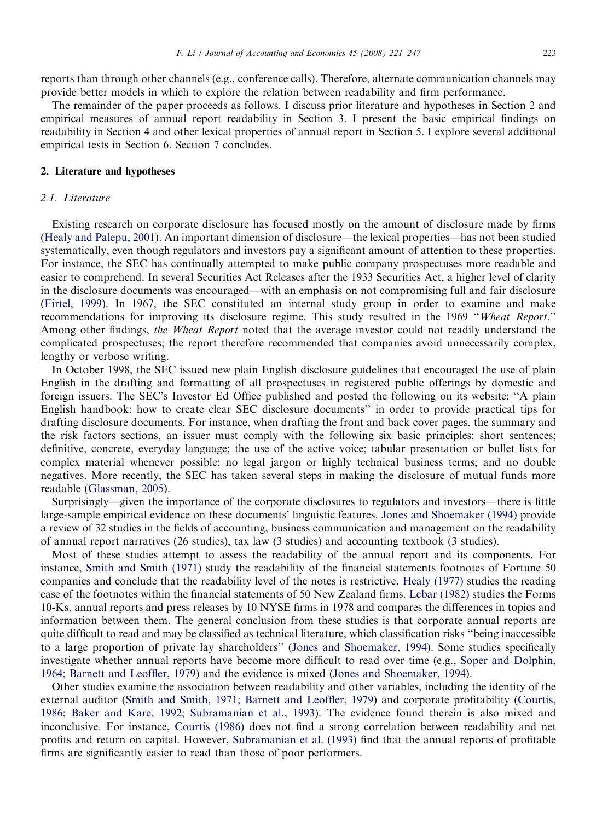reports than through other channels (e.g., conference calls). Therefore, alternate communication channels may provide better models in which to explore the relation between readability and firm performance.

The remainder of the paper proceeds as follows. I discuss prior literature and hypotheses in Section 2 and empirical measures of annual report readability in Section 3. I present the basic empirical findings on readability in Section 4 and other lexical properties of annual report in Section 5. I explore several additional empirical tests in Section 6. Section 7 concludes.

### 2. Literature and hypotheses

### 2.1. Literature

Existing research on corporate disclosure has focused mostly on the amount of disclosure made by firms [\(Healy and Palepu, 2001](#page-26-0)). An important dimension of disclosure—the lexical properties—has not been studied systematically, even though regulators and investors pay a significant amount of attention to these properties. For instance, the SEC has continually attempted to make public company prospectuses more readable and easier to comprehend. In several Securities Act Releases after the 1933 Securities Act, a higher level of clarity in the disclosure documents was encouraged—with an emphasis on not compromising full and fair disclosure [\(Firtel, 1999](#page-25-0)). In 1967, the SEC constituted an internal study group in order to examine and make recommendations for improving its disclosure regime. This study resulted in the 1969 ''Wheat Report.'' Among other findings, the Wheat Report noted that the average investor could not readily understand the complicated prospectuses; the report therefore recommended that companies avoid unnecessarily complex, lengthy or verbose writing.

In October 1998, the SEC issued new plain English disclosure guidelines that encouraged the use of plain English in the drafting and formatting of all prospectuses in registered public offerings by domestic and foreign issuers. The SEC's Investor Ed Office published and posted the following on its website: ''A plain English handbook: how to create clear SEC disclosure documents'' in order to provide practical tips for drafting disclosure documents. For instance, when drafting the front and back cover pages, the summary and the risk factors sections, an issuer must comply with the following six basic principles: short sentences; definitive, concrete, everyday language; the use of the active voice; tabular presentation or bullet lists for complex material whenever possible; no legal jargon or highly technical business terms; and no double negatives. More recently, the SEC has taken several steps in making the disclosure of mutual funds more readable ([Glassman, 2005](#page-26-0)).

Surprisingly—given the importance of the corporate disclosures to regulators and investors—there is little large-sample empirical evidence on these documents' linguistic features. [Jones and Shoemaker \(1994\)](#page-26-0) provide a review of 32 studies in the fields of accounting, business communication and management on the readability of annual report narratives (26 studies), tax law (3 studies) and accounting textbook (3 studies).

Most of these studies attempt to assess the readability of the annual report and its components. For instance, [Smith and Smith \(1971\)](#page-26-0) study the readability of the financial statements footnotes of Fortune 50 companies and conclude that the readability level of the notes is restrictive. [Healy \(1977\)](#page-26-0) studies the reading ease of the footnotes within the financial statements of 50 New Zealand firms. [Lebar \(1982\)](#page-26-0) studies the Forms 10-Ks, annual reports and press releases by 10 NYSE firms in 1978 and compares the differences in topics and information between them. The general conclusion from these studies is that corporate annual reports are quite difficult to read and may be classified as technical literature, which classification risks ''being inaccessible to a large proportion of private lay shareholders'' [\(Jones and Shoemaker, 1994](#page-26-0)). Some studies specifically investigate whether annual reports have become more difficult to read over time (e.g., [Soper and Dolphin,](#page-26-0) [1964; Barnett and Leoffler, 1979](#page-26-0)) and the evidence is mixed [\(Jones and Shoemaker, 1994](#page-26-0)).

Other studies examine the association between readability and other variables, including the identity of the external auditor ([Smith and Smith, 1971; Barnett and Leoffler, 1979\)](#page-26-0) and corporate profitability [\(Courtis,](#page-25-0) [1986; Baker and Kare, 1992; Subramanian et al., 1993\)](#page-25-0). The evidence found therein is also mixed and inconclusive. For instance, [Courtis \(1986\)](#page-25-0) does not find a strong correlation between readability and net profits and return on capital. However, [Subramanian et al. \(1993\)](#page-26-0) find that the annual reports of profitable firms are significantly easier to read than those of poor performers.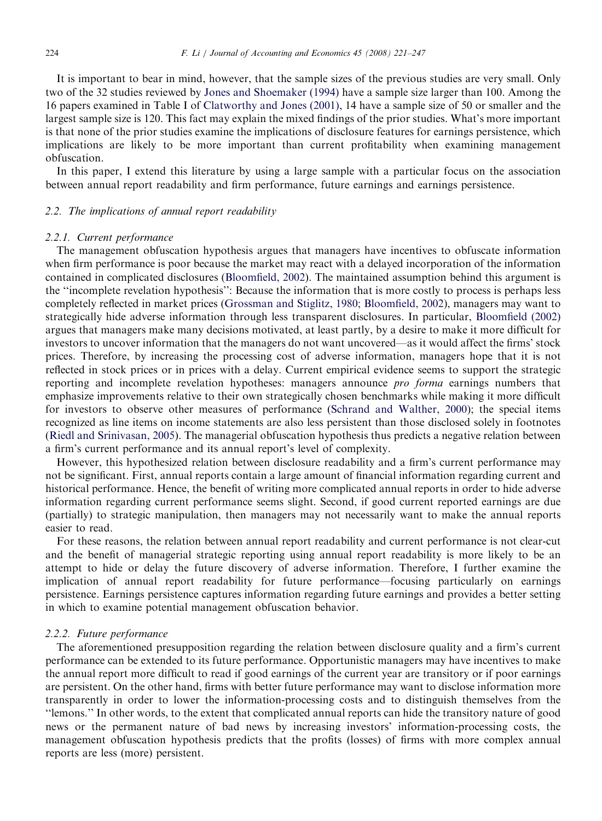It is important to bear in mind, however, that the sample sizes of the previous studies are very small. Only two of the 32 studies reviewed by [Jones and Shoemaker \(1994\)](#page-26-0) have a sample size larger than 100. Among the 16 papers examined in Table I of [Clatworthy and Jones \(2001\),](#page-25-0) 14 have a sample size of 50 or smaller and the largest sample size is 120. This fact may explain the mixed findings of the prior studies. What's more important is that none of the prior studies examine the implications of disclosure features for earnings persistence, which implications are likely to be more important than current profitability when examining management obfuscation.

In this paper, I extend this literature by using a large sample with a particular focus on the association between annual report readability and firm performance, future earnings and earnings persistence.

# 2.2. The implications of annual report readability

#### 2.2.1. Current performance

The management obfuscation hypothesis argues that managers have incentives to obfuscate information when firm performance is poor because the market may react with a delayed incorporation of the information contained in complicated disclosures ([Bloomfield, 2002\)](#page-25-0). The maintained assumption behind this argument is the ''incomplete revelation hypothesis'': Because the information that is more costly to process is perhaps less completely reflected in market prices [\(Grossman and Stiglitz, 1980; Bloomfield, 2002](#page-26-0)), managers may want to strategically hide adverse information through less transparent disclosures. In particular, [Bloomfield \(2002\)](#page-25-0) argues that managers make many decisions motivated, at least partly, by a desire to make it more difficult for investors to uncover information that the managers do not want uncovered—as it would affect the firms' stock prices. Therefore, by increasing the processing cost of adverse information, managers hope that it is not reflected in stock prices or in prices with a delay. Current empirical evidence seems to support the strategic reporting and incomplete revelation hypotheses: managers announce pro forma earnings numbers that emphasize improvements relative to their own strategically chosen benchmarks while making it more difficult for investors to observe other measures of performance ([Schrand and Walther, 2000\)](#page-26-0); the special items recognized as line items on income statements are also less persistent than those disclosed solely in footnotes ([Riedl and Srinivasan, 2005](#page-26-0)). The managerial obfuscation hypothesis thus predicts a negative relation between a firm's current performance and its annual report's level of complexity.

However, this hypothesized relation between disclosure readability and a firm's current performance may not be significant. First, annual reports contain a large amount of financial information regarding current and historical performance. Hence, the benefit of writing more complicated annual reports in order to hide adverse information regarding current performance seems slight. Second, if good current reported earnings are due (partially) to strategic manipulation, then managers may not necessarily want to make the annual reports easier to read.

For these reasons, the relation between annual report readability and current performance is not clear-cut and the benefit of managerial strategic reporting using annual report readability is more likely to be an attempt to hide or delay the future discovery of adverse information. Therefore, I further examine the implication of annual report readability for future performance—focusing particularly on earnings persistence. Earnings persistence captures information regarding future earnings and provides a better setting in which to examine potential management obfuscation behavior.

#### 2.2.2. Future performance

The aforementioned presupposition regarding the relation between disclosure quality and a firm's current performance can be extended to its future performance. Opportunistic managers may have incentives to make the annual report more difficult to read if good earnings of the current year are transitory or if poor earnings are persistent. On the other hand, firms with better future performance may want to disclose information more transparently in order to lower the information-processing costs and to distinguish themselves from the ''lemons.'' In other words, to the extent that complicated annual reports can hide the transitory nature of good news or the permanent nature of bad news by increasing investors' information-processing costs, the management obfuscation hypothesis predicts that the profits (losses) of firms with more complex annual reports are less (more) persistent.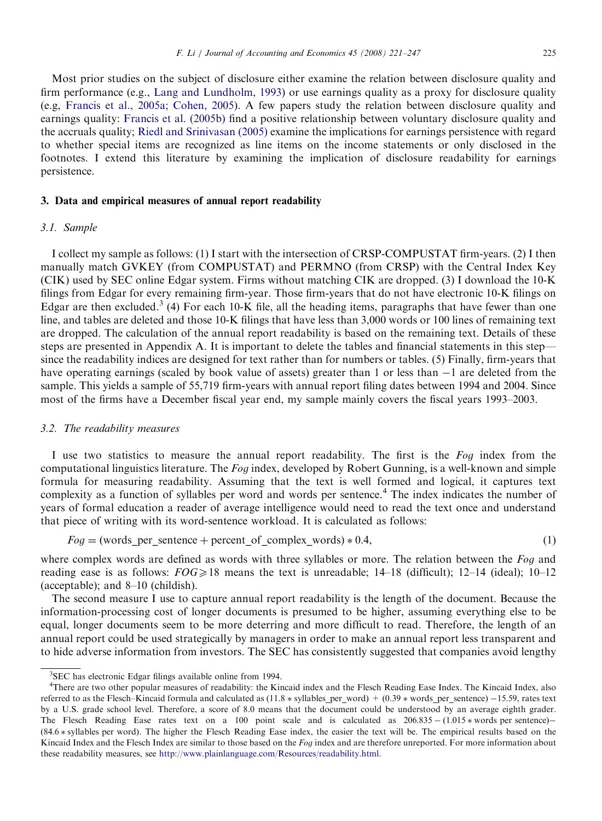Most prior studies on the subject of disclosure either examine the relation between disclosure quality and firm performance (e.g., [Lang and Lundholm, 1993\)](#page-26-0) or use earnings quality as a proxy for disclosure quality (e.g, [Francis et al., 2005a; Cohen, 2005\)](#page-25-0). A few papers study the relation between disclosure quality and earnings quality: [Francis et al. \(2005b\)](#page-26-0) find a positive relationship between voluntary disclosure quality and the accruals quality; [Riedl and Srinivasan \(2005\)](#page-26-0) examine the implications for earnings persistence with regard to whether special items are recognized as line items on the income statements or only disclosed in the footnotes. I extend this literature by examining the implication of disclosure readability for earnings persistence.

# 3. Data and empirical measures of annual report readability

# 3.1. Sample

I collect my sample as follows: (1) I start with the intersection of CRSP-COMPUSTAT firm-years. (2) I then manually match GVKEY (from COMPUSTAT) and PERMNO (from CRSP) with the Central Index Key (CIK) used by SEC online Edgar system. Firms without matching CIK are dropped. (3) I download the 10-K filings from Edgar for every remaining firm-year. Those firm-years that do not have electronic 10-K filings on Edgar are then excluded.<sup>3</sup> (4) For each 10-K file, all the heading items, paragraphs that have fewer than one line, and tables are deleted and those 10-K filings that have less than 3,000 words or 100 lines of remaining text are dropped. The calculation of the annual report readability is based on the remaining text. Details of these steps are presented in Appendix A. It is important to delete the tables and financial statements in this step since the readability indices are designed for text rather than for numbers or tables. (5) Finally, firm-years that have operating earnings (scaled by book value of assets) greater than 1 or less than  $-1$  are deleted from the sample. This yields a sample of 55,719 firm-years with annual report filing dates between 1994 and 2004. Since most of the firms have a December fiscal year end, my sample mainly covers the fiscal years 1993–2003.

# 3.2. The readability measures

I use two statistics to measure the annual report readability. The first is the Fog index from the computational linguistics literature. The Fog index, developed by Robert Gunning, is a well-known and simple formula for measuring readability. Assuming that the text is well formed and logical, it captures text complexity as a function of syllables per word and words per sentence.<sup>4</sup> The index indicates the number of years of formal education a reader of average intelligence would need to read the text once and understand that piece of writing with its word-sentence workload. It is calculated as follows:

$$
Fog = (words\_per\_sentence + percent\_of\_complex\_words) * 0.4,
$$
\n
$$
(1)
$$

where complex words are defined as words with three syllables or more. The relation between the Fog and reading ease is as follows:  $FOG \ge 18$  means the text is unreadable; 14–18 (difficult); 12–14 (ideal); 10–12 (acceptable); and 8–10 (childish).

The second measure I use to capture annual report readability is the length of the document. Because the information-processing cost of longer documents is presumed to be higher, assuming everything else to be equal, longer documents seem to be more deterring and more difficult to read. Therefore, the length of an annual report could be used strategically by managers in order to make an annual report less transparent and to hide adverse information from investors. The SEC has consistently suggested that companies avoid lengthy

<sup>&</sup>lt;sup>3</sup>SEC has electronic Edgar filings available online from 1994.

<sup>4</sup> There are two other popular measures of readability: the Kincaid index and the Flesch Reading Ease Index. The Kincaid Index, also referred to as the Flesch–Kincaid formula and calculated as (11.8 \* syllables\_per\_word) + (0.39 \* words\_per\_sentence) –15.59, rates text by a U.S. grade school level. Therefore, a score of 8.0 means that the document could be understood by an average eighth grader. The Flesch Reading Ease rates text on a 100 point scale and is calculated as  $206.835 - (1.015 * words per sentence)$ (84.6 \* syllables per word). The higher the Flesch Reading Ease index, the easier the text will be. The empirical results based on the Kincaid Index and the Flesch Index are similar to those based on the Fog index and are therefore unreported. For more information about these readability measures, see [http://www.plainlanguage.com/Resources/readability.html.](http://www.plainlanguage.com/Resources/readability.html)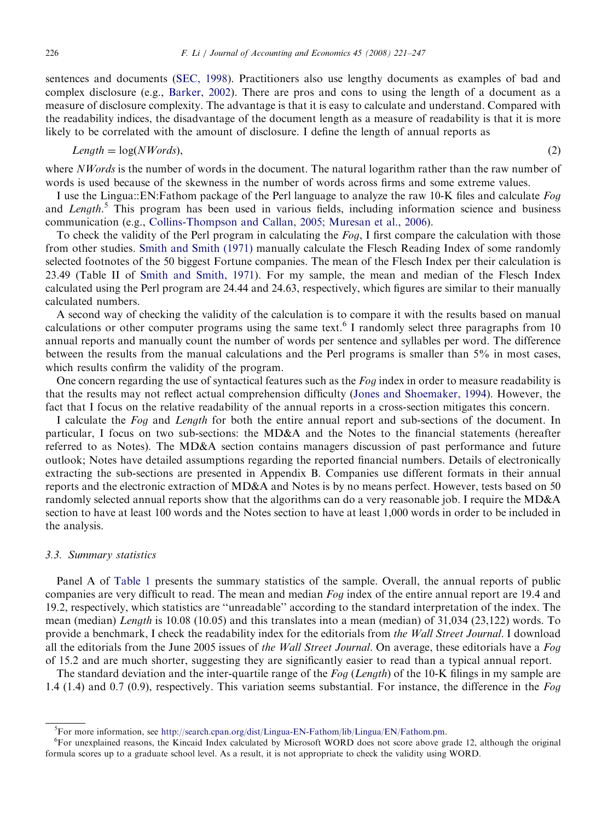sentences and documents [\(SEC, 1998\)](#page-26-0). Practitioners also use lengthy documents as examples of bad and complex disclosure (e.g., [Barker, 2002\)](#page-25-0). There are pros and cons to using the length of a document as a measure of disclosure complexity. The advantage is that it is easy to calculate and understand. Compared with the readability indices, the disadvantage of the document length as a measure of readability is that it is more likely to be correlated with the amount of disclosure. I define the length of annual reports as

$$
Length = \log(NWords),\tag{2}
$$

where *NWords* is the number of words in the document. The natural logarithm rather than the raw number of words is used because of the skewness in the number of words across firms and some extreme values.

I use the Lingua::EN:Fathom package of the Perl language to analyze the raw 10-K files and calculate Fog and Length.<sup>5</sup> This program has been used in various fields, including information science and business communication (e.g., [Collins-Thompson and Callan, 2005; Muresan et al., 2006](#page-25-0)).

To check the validity of the Perl program in calculating the Fog. I first compare the calculation with those from other studies. [Smith and Smith \(1971\)](#page-26-0) manually calculate the Flesch Reading Index of some randomly selected footnotes of the 50 biggest Fortune companies. The mean of the Flesch Index per their calculation is 23.49 (Table II of [Smith and Smith, 1971](#page-26-0)). For my sample, the mean and median of the Flesch Index calculated using the Perl program are 24.44 and 24.63, respectively, which figures are similar to their manually calculated numbers.

A second way of checking the validity of the calculation is to compare it with the results based on manual calculations or other computer programs using the same text.<sup>6</sup> I randomly select three paragraphs from 10 annual reports and manually count the number of words per sentence and syllables per word. The difference between the results from the manual calculations and the Perl programs is smaller than 5% in most cases, which results confirm the validity of the program.

One concern regarding the use of syntactical features such as the Fog index in order to measure readability is that the results may not reflect actual comprehension difficulty ([Jones and Shoemaker, 1994](#page-26-0)). However, the fact that I focus on the relative readability of the annual reports in a cross-section mitigates this concern.

I calculate the Fog and Length for both the entire annual report and sub-sections of the document. In particular, I focus on two sub-sections: the MD&A and the Notes to the financial statements (hereafter referred to as Notes). The MD&A section contains managers discussion of past performance and future outlook; Notes have detailed assumptions regarding the reported financial numbers. Details of electronically extracting the sub-sections are presented in Appendix B. Companies use different formats in their annual reports and the electronic extraction of MD&A and Notes is by no means perfect. However, tests based on 50 randomly selected annual reports show that the algorithms can do a very reasonable job. I require the MD&A section to have at least 100 words and the Notes section to have at least 1,000 words in order to be included in the analysis.

#### 3.3. Summary statistics

Panel A of [Table 1](#page-6-0) presents the summary statistics of the sample. Overall, the annual reports of public companies are very difficult to read. The mean and median Fog index of the entire annual report are 19.4 and 19.2, respectively, which statistics are ''unreadable'' according to the standard interpretation of the index. The mean (median) Length is 10.08 (10.05) and this translates into a mean (median) of 31,034 (23,122) words. To provide a benchmark, I check the readability index for the editorials from the Wall Street Journal. I download all the editorials from the June 2005 issues of the Wall Street Journal. On average, these editorials have a Fog of 15.2 and are much shorter, suggesting they are significantly easier to read than a typical annual report.

The standard deviation and the inter-quartile range of the Fog (Length) of the 10-K filings in my sample are 1.4 (1.4) and 0.7 (0.9), respectively. This variation seems substantial. For instance, the difference in the  $Fog$ 

<sup>&</sup>lt;sup>5</sup> For more information, see <http://search.cpan.org/dist/Lingua-EN-Fathom/lib/Lingua/EN/Fathom.pm>.

For unexplained reasons, the Kincaid Index calculated by Microsoft WORD does not score above grade 12, although the original formula scores up to a graduate school level. As a result, it is not appropriate to check the validity using WORD.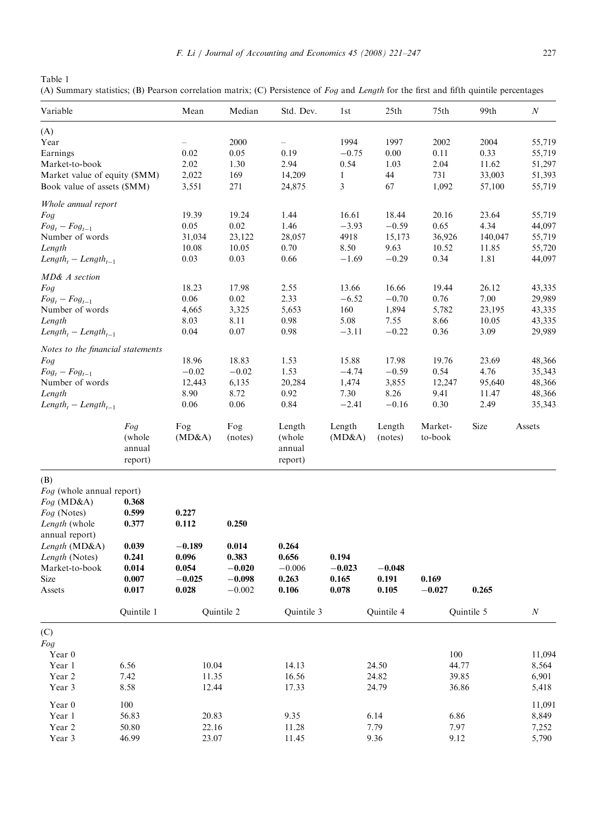<span id="page-6-0"></span>

| Table 1 |                                                                                                                                        |  |  |  |  |  |  |
|---------|----------------------------------------------------------------------------------------------------------------------------------------|--|--|--|--|--|--|
|         | (A) Summary statistics; (B) Pearson correlation matrix; (C) Persistence of Fog and Length for the first and fifth quintile percentages |  |  |  |  |  |  |

| Variable                          |            | Mean                     | Median            | Std. Dev.         | 1st          | 25th       | 75th     | 99th       | $\cal N$ |
|-----------------------------------|------------|--------------------------|-------------------|-------------------|--------------|------------|----------|------------|----------|
| (A)                               |            |                          |                   |                   |              |            |          |            |          |
| Year                              |            | $\overline{\phantom{0}}$ | 2000              | $\qquad \qquad -$ | 1994         | 1997       | 2002     | 2004       | 55,719   |
| Earnings                          |            | 0.02                     | 0.05              | 0.19              | $-0.75$      | 0.00       | 0.11     | 0.33       | 55,719   |
| Market-to-book                    |            | 2.02                     | 1.30              | 2.94              | 0.54         | 1.03       | 2.04     | 11.62      | 51,297   |
| Market value of equity (\$MM)     |            | 2,022                    | 169               | 14,209            | $\mathbf{1}$ | 44         | 731      | 33,003     | 51,393   |
| Book value of assets (\$MM)       |            | 3,551                    | 271               | 24,875            | 3            | 67         | 1,092    | 57,100     | 55,719   |
| Whole annual report               |            |                          |                   |                   |              |            |          |            |          |
| Fog                               |            | 19.39                    | 19.24             | 1.44              | 16.61        | 18.44      | 20.16    | 23.64      | 55,719   |
| $Fog_t - Fog_{t-1}$               |            | 0.05                     | 0.02              | 1.46              | $-3.93$      | $-0.59$    | 0.65     | 4.34       | 44,097   |
| Number of words                   |            | 31,034                   | 23,122            | 28,057            | 4918         | 15,173     | 36,926   | 140,047    | 55,719   |
| Length                            |            | 10.08                    | 10.05             | 0.70              | 8.50         | 9.63       | 10.52    | 11.85      | 55,720   |
| $Length_t - Length_{t-1}$         |            | 0.03                     | 0.03              | 0.66              | $-1.69$      | $-0.29$    | 0.34     | 1.81       | 44,097   |
| MD& A section                     |            |                          |                   |                   |              |            |          |            |          |
| Fog                               |            | 18.23                    | 17.98             | 2.55              | 13.66        | 16.66      | 19.44    | 26.12      | 43,335   |
| $Fog_t - Fog_{t-1}$               |            | 0.06                     | 0.02              | 2.33              | $-6.52$      | $-0.70$    | 0.76     | 7.00       | 29,989   |
| Number of words                   |            | 4,665                    | 3,325             | 5,653             | 160          | 1,894      | 5,782    | 23,195     | 43,335   |
|                                   |            | 8.03                     |                   | 0.98              | 5.08         | 7.55       | 8.66     |            |          |
| Length                            |            |                          | 8.11              |                   |              |            |          | 10.05      | 43,335   |
| $Length_t - Length_{t-1}$         |            | 0.04                     | 0.07              | 0.98              | $-3.11$      | $-0.22$    | 0.36     | 3.09       | 29,989   |
| Notes to the financial statements |            |                          |                   |                   |              |            |          |            |          |
| $\mathcal{F}\!\mathit{og}$        |            | 18.96                    | 18.83             | 1.53              | 15.88        | 17.98      | 19.76    | 23.69      | 48,366   |
| $Fog_t - Fog_{t-1}$               |            | $-0.02$                  | $-0.02$           | 1.53              | $-4.74$      | $-0.59$    | 0.54     | 4.76       | 35,343   |
| Number of words                   |            | 12,443                   | 6,135             | 20,284            | 1,474        | 3,855      | 12,247   | 95,640     | 48,366   |
| Length                            |            | 8.90                     | 8.72              | 0.92              | 7.30         | 8.26       | 9.41     | 11.47      | 48,366   |
| $Length_t - Length_{t-1}$         |            | 0.06                     | 0.06              | 0.84              | $-2.41$      | $-0.16$    | 0.30     | 2.49       | 35,343   |
|                                   |            |                          |                   |                   |              |            |          |            |          |
|                                   | Fog        | Fog                      | Fog               | Length            | Length       | Length     | Market-  | Size       | Assets   |
|                                   | (whole     | (MD&A)                   | (notes)           | (whole            | (MD&A)       | (notes)    | to-book  |            |          |
|                                   | annual     |                          |                   | annual            |              |            |          |            |          |
|                                   | report)    |                          |                   | report)           |              |            |          |            |          |
| (B)                               |            |                          |                   |                   |              |            |          |            |          |
| Fog (whole annual report)         |            |                          |                   |                   |              |            |          |            |          |
| Fog (MD&A)                        | 0.368      |                          |                   |                   |              |            |          |            |          |
| Fog (Notes)                       | 0.599      | 0.227                    |                   |                   |              |            |          |            |          |
| Length (whole                     | 0.377      | 0.112                    | 0.250             |                   |              |            |          |            |          |
| annual report)                    |            |                          |                   |                   |              |            |          |            |          |
| Length (MD&A)                     | 0.039      | $-0.189$                 | 0.014             | 0.264             |              |            |          |            |          |
|                                   | 0.241      |                          | 0.383             | 0.656             | 0.194        |            |          |            |          |
| Length (Notes)                    |            | 0.096                    |                   |                   |              |            |          |            |          |
| Market-to-book                    | 0.014      | 0.054                    | $-0.020$          | $-0.006$          | $-0.023$     | $-0.048$   |          |            |          |
| Size                              | 0.007      | $-0.025$                 | $-0.098$          | 0.263             | 0.165        | 0.191      | 0.169    |            |          |
| Assets                            | 0.017      | 0.028                    | $-0.002$          | 0.106             | 0.078        | 0.105      | $-0.027$ | 0.265      |          |
|                                   | Quintile 1 |                          | <b>Ouintile 2</b> | Quintile 3        |              | Quintile 4 |          | Quintile 5 | $\cal N$ |
| (C)                               |            |                          |                   |                   |              |            |          |            |          |
| Fog                               |            |                          |                   |                   |              |            |          |            |          |
| Year 0                            |            |                          |                   |                   |              |            | $100\,$  |            | 11,094   |
| Year 1                            | 6.56       | 10.04                    |                   | 14.13             |              | 24.50      | 44.77    |            | 8,564    |
| Year 2                            | 7.42       | 11.35                    |                   | 16.56             |              | 24.82      | 39.85    |            | 6,901    |
| Year 3                            | 8.58       | 12.44                    |                   | 17.33             |              | 24.79      | 36.86    |            | 5,418    |
|                                   |            |                          |                   |                   |              |            |          |            |          |
| Year 0                            | 100        |                          |                   |                   |              |            |          |            | 11,091   |
| Year 1                            | 56.83      | 20.83                    |                   | 9.35              |              | 6.14       | 6.86     |            | 8,849    |
| Year 2                            | 50.80      | 22.16                    |                   | 11.28             |              | 7.79       | 7.97     |            | 7,252    |
| Year 3                            | 46.99      | 23.07                    |                   | 11.45             |              | 9.36       | 9.12     |            | 5,790    |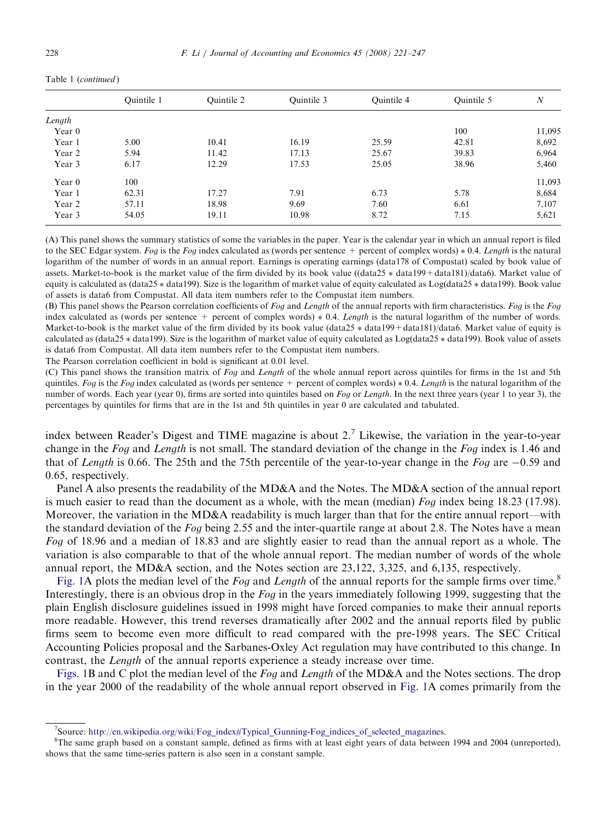|        | <b>Ouintile 1</b> | <b>Ouintile 2</b> | Ouintile 3 | <b>Ouintile 4</b> | Ouintile 5 | $\boldsymbol{N}$ |
|--------|-------------------|-------------------|------------|-------------------|------------|------------------|
| Length |                   |                   |            |                   |            |                  |
| Year 0 |                   |                   |            |                   | 100        | 11,095           |
| Year 1 | 5.00              | 10.41             | 16.19      | 25.59             | 42.81      | 8,692            |
| Year 2 | 5.94              | 11.42             | 17.13      | 25.67             | 39.83      | 6,964            |
| Year 3 | 6.17              | 12.29             | 17.53      | 25.05             | 38.96      | 5,460            |
| Year 0 | 100               |                   |            |                   |            | 11,093           |
| Year 1 | 62.31             | 17.27             | 7.91       | 6.73              | 5.78       | 8,684            |
| Year 2 | 57.11             | 18.98             | 9.69       | 7.60              | 6.61       | 7,107            |
| Year 3 | 54.05             | 19.11             | 10.98      | 8.72              | 7.15       | 5,621            |

Table 1 (continued )

(A) This panel shows the summary statistics of some the variables in the paper. Year is the calendar year in which an annual report is filed to the SEC Edgar system. Fog is the Fog index calculated as (words per sentence + percent of complex words)  $*$  0.4. Length is the natural logarithm of the number of words in an annual report. Earnings is operating earnings (data178 of Compustat) scaled by book value of assets. Market-to-book is the market value of the firm divided by its book value ((data25  $*$  data199+data181)/data6). Market value of equity is calculated as (data25  $*$  data199). Size is the logarithm of market value of equity calculated as  $Log(data25 * data199)$ . Book value of assets is data6 from Compustat. All data item numbers refer to the Compustat item numbers.

(B) This panel shows the Pearson correlation coefficients of Fog and Length of the annual reports with firm characteristics. Fog is the Fog index calculated as (words per sentence + percent of complex words)  $*$  0.4. Length is the natural logarithm of the number of words. Market-to-book is the market value of the firm divided by its book value (data25  $*$  data199+data181)/data6. Market value of equity is calculated as (data25  $*$  data199). Size is the logarithm of market value of equity calculated as  $Log(data25 * data199)$ . Book value of assets is data6 from Compustat. All data item numbers refer to the Compustat item numbers.

The Pearson correlation coefficient in bold is significant at 0.01 level.

(C) This panel shows the transition matrix of Fog and Length of the whole annual report across quintiles for firms in the 1st and 5th quintiles. Fog is the Fog index calculated as (words per sentence + percent of complex words)  $*$  0.4. Length is the natural logarithm of the number of words. Each year (year 0), firms are sorted into quintiles based on Fog or Length. In the next three years (year 1 to year 3), the percentages by quintiles for firms that are in the 1st and 5th quintiles in year 0 are calculated and tabulated.

index between Reader's Digest and TIME magazine is about 2.7 Likewise, the variation in the year-to-year change in the Fog and Length is not small. The standard deviation of the change in the Fog index is 1.46 and that of Length is 0.66. The 25th and the 75th percentile of the year-to-year change in the Fog are  $-0.59$  and 0.65, respectively.

Panel A also presents the readability of the MD&A and the Notes. The MD&A section of the annual report is much easier to read than the document as a whole, with the mean (median) Fog index being 18.23 (17.98). Moreover, the variation in the MD&A readability is much larger than that for the entire annual report—with the standard deviation of the Fog being 2.55 and the inter-quartile range at about 2.8. The Notes have a mean Fog of 18.96 and a median of 18.83 and are slightly easier to read than the annual report as a whole. The variation is also comparable to that of the whole annual report. The median number of words of the whole annual report, the MD&A section, and the Notes section are 23,122, 3,325, and 6,135, respectively.

[Fig. 1A](#page-8-0) plots the median level of the Fog and Length of the annual reports for the sample firms over time.<sup>8</sup> Interestingly, there is an obvious drop in the Fog in the years immediately following 1999, suggesting that the plain English disclosure guidelines issued in 1998 might have forced companies to make their annual reports more readable. However, this trend reverses dramatically after 2002 and the annual reports filed by public firms seem to become even more difficult to read compared with the pre-1998 years. The SEC Critical Accounting Policies proposal and the Sarbanes-Oxley Act regulation may have contributed to this change. In contrast, the Length of the annual reports experience a steady increase over time.

[Figs. 1B](#page-8-0) and C plot the median level of the Fog and Length of the MD&A and the Notes sections. The drop in the year 2000 of the readability of the whole annual report observed in [Fig. 1](#page-8-0)A comes primarily from the

 $^7$ Source: [http://en.wikipedia.org/wiki/Fog\\_index#Typical\\_Gunning-Fog\\_indices\\_of\\_selected\\_magazines](http://en.wikipedia.org/wiki/Fog_index#Typical_Gunning-Fog_indices_of_selected_magazines).

<sup>&</sup>lt;sup>8</sup>The same graph based on a constant sample, defined as firms with at least eight years of data between 1994 and 2004 (unreported), shows that the same time-series pattern is also seen in a constant sample.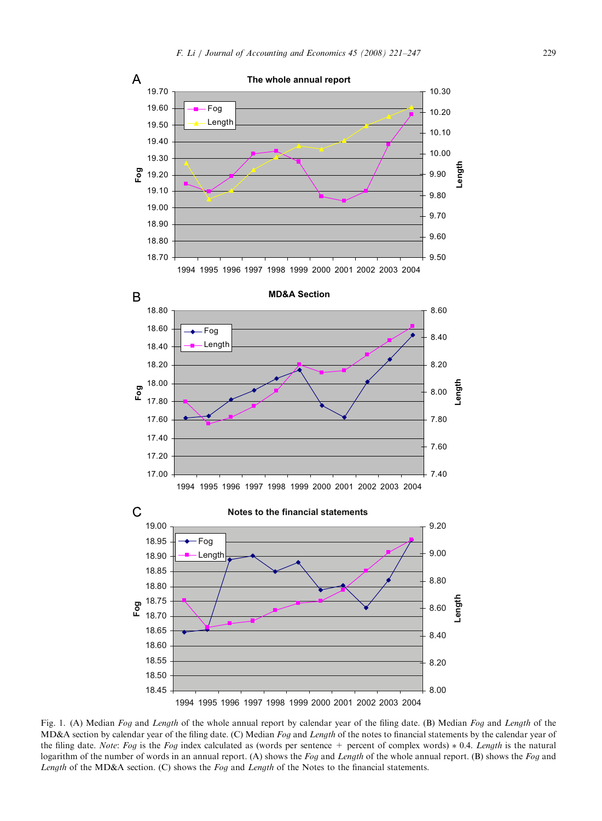<span id="page-8-0"></span>

Fig. 1. (A) Median Fog and Length of the whole annual report by calendar year of the filing date. (B) Median Fog and Length of the MD&A section by calendar year of the filing date. (C) Median Fog and Length of the notes to financial statements by the calendar year of the filing date. Note: Fog is the Fog index calculated as (words per sentence + percent of complex words)  $*$  0.4. Length is the natural logarithm of the number of words in an annual report. (A) shows the Fog and Length of the whole annual report. (B) shows the Fog and Length of the MD&A section. (C) shows the Fog and Length of the Notes to the financial statements.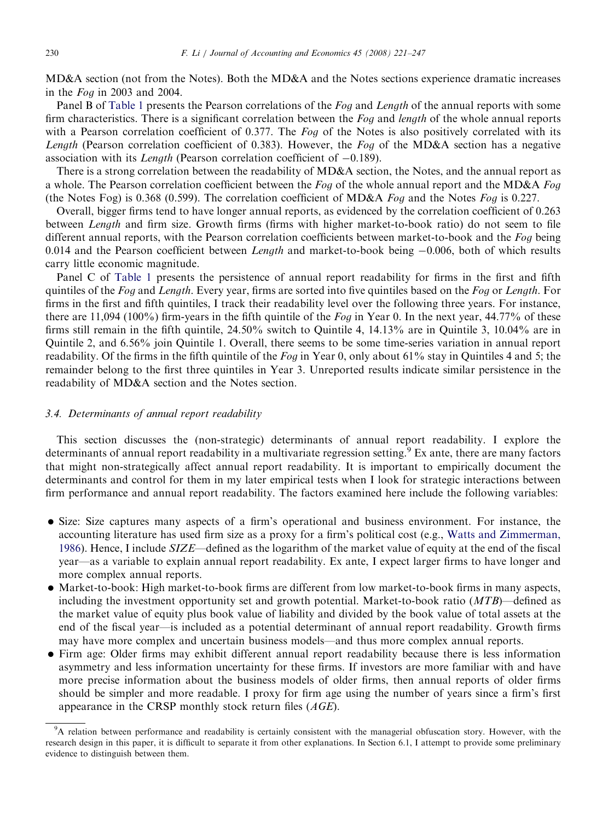MD&A section (not from the Notes). Both the MD&A and the Notes sections experience dramatic increases in the Fog in 2003 and 2004.

Panel B of [Table 1](#page-6-0) presents the Pearson correlations of the Fog and Length of the annual reports with some firm characteristics. There is a significant correlation between the Fog and length of the whole annual reports with a Pearson correlation coefficient of 0.377. The Fog of the Notes is also positively correlated with its Length (Pearson correlation coefficient of 0.383). However, the Fog of the MD&A section has a negative association with its *Length* (Pearson correlation coefficient of  $-0.189$ ).

There is a strong correlation between the readability of MD&A section, the Notes, and the annual report as a whole. The Pearson correlation coefficient between the Fog of the whole annual report and the MD&A Fog (the Notes Fog) is 0.368 (0.599). The correlation coefficient of MD&A Fog and the Notes Fog is 0.227.

Overall, bigger firms tend to have longer annual reports, as evidenced by the correlation coefficient of 0.263 between Length and firm size. Growth firms (firms with higher market-to-book ratio) do not seem to file different annual reports, with the Pearson correlation coefficients between market-to-book and the Fog being 0.014 and the Pearson coefficient between *Length* and market-to-book being  $-0.006$ , both of which results carry little economic magnitude.

Panel C of [Table 1](#page-6-0) presents the persistence of annual report readability for firms in the first and fifth quintiles of the Fog and Length. Every year, firms are sorted into five quintiles based on the Fog or Length. For firms in the first and fifth quintiles, I track their readability level over the following three years. For instance, there are 11,094 (100%) firm-years in the fifth quintile of the Fog in Year 0. In the next year,  $44.77\%$  of these firms still remain in the fifth quintile, 24.50% switch to Quintile 4, 14.13% are in Quintile 3, 10.04% are in Quintile 2, and 6.56% join Quintile 1. Overall, there seems to be some time-series variation in annual report readability. Of the firms in the fifth quintile of the Fog in Year 0, only about 61% stay in Quintiles 4 and 5; the remainder belong to the first three quintiles in Year 3. Unreported results indicate similar persistence in the readability of MD&A section and the Notes section.

# 3.4. Determinants of annual report readability

This section discusses the (non-strategic) determinants of annual report readability. I explore the determinants of annual report readability in a multivariate regression setting.<sup>9</sup> Ex ante, there are many factors that might non-strategically affect annual report readability. It is important to empirically document the determinants and control for them in my later empirical tests when I look for strategic interactions between firm performance and annual report readability. The factors examined here include the following variables:

- Size: Size captures many aspects of a firm's operational and business environment. For instance, the accounting literature has used firm size as a proxy for a firm's political cost (e.g., [Watts and Zimmerman,](#page-26-0) [1986](#page-26-0)). Hence, I include SIZE—defined as the logarithm of the market value of equity at the end of the fiscal year—as a variable to explain annual report readability. Ex ante, I expect larger firms to have longer and more complex annual reports.
- Market-to-book: High market-to-book firms are different from low market-to-book firms in many aspects, including the investment opportunity set and growth potential. Market-to-book ratio (MTB)—defined as the market value of equity plus book value of liability and divided by the book value of total assets at the end of the fiscal year—is included as a potential determinant of annual report readability. Growth firms may have more complex and uncertain business models—and thus more complex annual reports.
- Firm age: Older firms may exhibit different annual report readability because there is less information asymmetry and less information uncertainty for these firms. If investors are more familiar with and have more precise information about the business models of older firms, then annual reports of older firms should be simpler and more readable. I proxy for firm age using the number of years since a firm's first appearance in the CRSP monthly stock return files (AGE).

<sup>&</sup>lt;sup>9</sup>A relation between performance and readability is certainly consistent with the managerial obfuscation story. However, with the research design in this paper, it is difficult to separate it from other explanations. In Section 6.1, I attempt to provide some preliminary evidence to distinguish between them.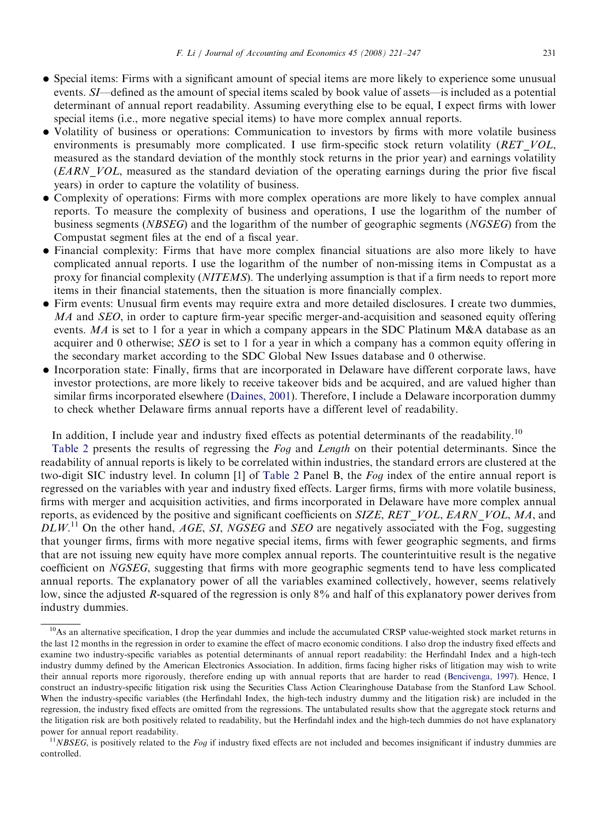- Special items: Firms with a significant amount of special items are more likely to experience some unusual events. SI—defined as the amount of special items scaled by book value of assets—is included as a potential determinant of annual report readability. Assuming everything else to be equal, I expect firms with lower special items (i.e., more negative special items) to have more complex annual reports.
- Volatility of business or operations: Communication to investors by firms with more volatile business environments is presumably more complicated. I use firm-specific stock return volatility ( $RETVOL$ , measured as the standard deviation of the monthly stock returns in the prior year) and earnings volatility (EARN VOL, measured as the standard deviation of the operating earnings during the prior five fiscal years) in order to capture the volatility of business.
- Complexity of operations: Firms with more complex operations are more likely to have complex annual reports. To measure the complexity of business and operations, I use the logarithm of the number of business segments (NBSEG) and the logarithm of the number of geographic segments (NGSEG) from the Compustat segment files at the end of a fiscal year.
- Financial complexity: Firms that have more complex financial situations are also more likely to have complicated annual reports. I use the logarithm of the number of non-missing items in Compustat as a proxy for financial complexity (NITEMS). The underlying assumption is that if a firm needs to report more items in their financial statements, then the situation is more financially complex.
- Firm events: Unusual firm events may require extra and more detailed disclosures. I create two dummies, MA and SEO, in order to capture firm-year specific merger-and-acquisition and seasoned equity offering events. MA is set to 1 for a year in which a company appears in the SDC Platinum M&A database as an acquirer and 0 otherwise; SEO is set to 1 for a year in which a company has a common equity offering in the secondary market according to the SDC Global New Issues database and 0 otherwise.
- Incorporation state: Finally, firms that are incorporated in Delaware have different corporate laws, have investor protections, are more likely to receive takeover bids and be acquired, and are valued higher than similar firms incorporated elsewhere [\(Daines, 2001](#page-25-0)). Therefore, I include a Delaware incorporation dummy to check whether Delaware firms annual reports have a different level of readability.

In addition, I include year and industry fixed effects as potential determinants of the readability.<sup>10</sup>

[Table 2](#page-11-0) presents the results of regressing the Fog and Length on their potential determinants. Since the readability of annual reports is likely to be correlated within industries, the standard errors are clustered at the two-digit SIC industry level. In column [1] of [Table 2](#page-11-0) Panel B, the Fog index of the entire annual report is regressed on the variables with year and industry fixed effects. Larger firms, firms with more volatile business, firms with merger and acquisition activities, and firms incorporated in Delaware have more complex annual reports, as evidenced by the positive and significant coefficients on SIZE, RET VOL, EARN VOL, MA, and  $D L W$ .<sup>11</sup> On the other hand, AGE, SI, NGSEG and SEO are negatively associated with the Fog, suggesting that younger firms, firms with more negative special items, firms with fewer geographic segments, and firms that are not issuing new equity have more complex annual reports. The counterintuitive result is the negative coefficient on NGSEG, suggesting that firms with more geographic segments tend to have less complicated annual reports. The explanatory power of all the variables examined collectively, however, seems relatively low, since the adjusted R-squared of the regression is only 8% and half of this explanatory power derives from industry dummies.

 $10$ As an alternative specification, I drop the year dummies and include the accumulated CRSP value-weighted stock market returns in the last 12 months in the regression in order to examine the effect of macro economic conditions. I also drop the industry fixed effects and examine two industry-specific variables as potential determinants of annual report readability: the Herfindahl Index and a high-tech industry dummy defined by the American Electronics Association. In addition, firms facing higher risks of litigation may wish to write their annual reports more rigorously, therefore ending up with annual reports that are harder to read ([Bencivenga, 1997\)](#page-25-0). Hence, I construct an industry-specific litigation risk using the Securities Class Action Clearinghouse Database from the Stanford Law School. When the industry-specific variables (the Herfindahl Index, the high-tech industry dummy and the litigation risk) are included in the regression, the industry fixed effects are omitted from the regressions. The untabulated results show that the aggregate stock returns and the litigation risk are both positively related to readability, but the Herfindahl index and the high-tech dummies do not have explanatory power for annual report readability.<br><sup>11</sup>NBSEG, is positively related to the *Fog* if industry fixed effects are not included and becomes insignificant if industry dummies are

controlled.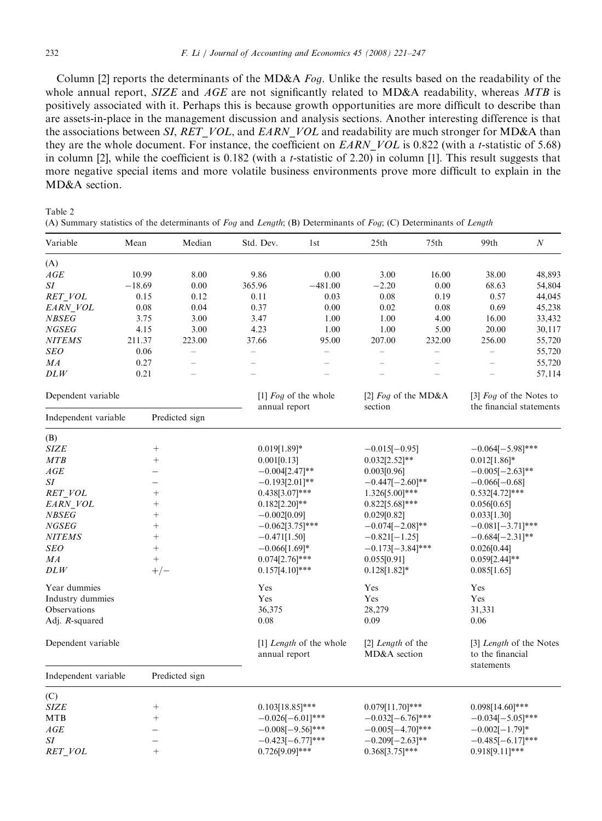<span id="page-11-0"></span>Column [2] reports the determinants of the MD&A Fog. Unlike the results based on the readability of the whole annual report,  $SIZE$  and  $AGE$  are not significantly related to MD&A readability, whereas MTB is positively associated with it. Perhaps this is because growth opportunities are more difficult to describe than are assets-in-place in the management discussion and analysis sections. Another interesting difference is that the associations between SI, RET\_VOL, and EARN\_VOL and readability are much stronger for MD&A than they are the whole document. For instance, the coefficient on EARN\_VOL is 0.822 (with a t-statistic of 5.68) in column [2], while the coefficient is  $0.182$  (with a *t*-statistic of 2.20) in column [1]. This result suggests that more negative special items and more volatile business environments prove more difficult to explain in the MD&A section.

| Mean<br>Median<br>Std. Dev.<br>1st<br>25th<br>75th<br>99th<br>$\boldsymbol{N}$<br>8.00<br>9.86<br>0.00<br>10.99<br>3.00<br>16.00<br>38.00<br>0.00<br>365.96<br>$-481.00$<br>$-2.20$<br>0.00<br>68.63<br>$-18.69$<br>0.12<br>0.08<br>0.19<br>0.57<br>0.15<br>0.11<br>0.03<br>0.08<br>0.37<br>0.00<br>0.02<br>0.08<br>0.69<br>0.04<br>3.75<br>3.00<br>3.47<br>1.00<br>1.00<br>4.00<br>16.00<br>4.23<br>1.00<br>5.00<br>20.00<br>4.15<br>3.00<br>1.00<br>37.66<br>211.37<br>223.00<br>95.00<br>207.00<br>232.00<br>256.00<br>0.06<br>$\overline{\phantom{0}}$<br>$\overline{\phantom{0}}$<br>$\overline{\phantom{0}}$<br>$=$<br>$=$<br>$\equiv$<br>0.27<br>$\overline{\phantom{0}}$<br>$\overline{\phantom{0}}$<br>$\overline{\phantom{0}}$<br>$\overline{\phantom{0}}$<br>$\overline{\phantom{0}}$<br>$\frac{1}{2}$<br>0.21<br>Dependent variable<br>[1] $Fog$ of the whole<br>[2] $Fog$ of the MD&A<br>[3] $Fog$ of the Notes to<br>annual report<br>section<br>the financial statements<br>Independent variable<br>Predicted sign<br>$\! + \!\!\!\!$<br>$0.019[1.89]*$<br>$-0.064[-5.98]$ ***<br>$-0.015[-0.95]$<br>$^{+}$<br>0.001[0.13]<br>$0.032[2.52]**$<br>$0.012[1.86]*$<br>$-0.004[2.47]**$<br>0.003[0.96]<br>$-0.005[-2.63]**$<br>$\overline{\phantom{0}}$<br>$-0.447[-2.60]**$<br>$-0.193[2.01]**$<br>$-0.066[-0.68]$<br>$\overline{\phantom{0}}$<br>$+$<br>$0.438[3.07]***$<br>$1.326[5.00]$ ***<br>$0.532[4.72]$ ***<br>$^{+}$<br>$0.822[5.68]$ ***<br>$0.182[2.20]$ **<br>0.056[0.65]<br>$^{+}$<br>0.029[0.82]<br>$-0.002[0.09]$<br>0.033[1.30]<br>$^{+}$<br>$-0.062[3.75]$ ***<br>$-0.074[-2.08]**$<br>$-0.081[-3.71]$ ***<br>$^{+}$<br>$-0.684[-2.31]**$<br>$-0.471[1.50]$<br>$-0.821[-1.25]$<br>SEO<br>$^{+}$<br>$-0.173[-3.84]$ ***<br>$-0.066[1.69]*$<br>0.026[0.44]<br>$+$<br>MА<br>$0.074[2.76]$ ***<br>0.055[0.91]<br>$0.059[2.44]**$<br>$+/-$<br>$0.157[4.10]$ ***<br>$0.128[1.82]*$<br>0.085[1.65]<br>Yes<br>Yes<br>Yes<br>Industry dummies<br>Yes<br>Yes<br>Yes<br>28,279<br>Observations<br>36,375<br>31,331<br>0.09<br>Adj. R-squared<br>0.08<br>0.06<br>[1] <i>Length</i> of the whole<br>[2] Length of the<br>[3] <i>Length</i> of the Notes<br>MD&A section<br>to the financial<br>annual report<br>statements<br>Independent variable<br>Predicted sign<br>$^{+}$<br>$0.079[11.70]***$<br>$0.098[14.60]***$<br>$0.103[18.85]$ ***<br>$^{+}$<br>$-0.026[-6.01]***$<br>$-0.032[-6.76]$ ***<br>$-0.034[-5.05]***$<br>$-0.008[-9.56]***$<br>$-0.005[-4.70]$ ***<br>$-0.002[-1.79]*$<br>$\overline{\phantom{0}}$<br>$-0.423[-6.77]$ ***<br>$-0.209[-2.63]$ **<br>$-0.485[-6.17]***$<br>$0.726[9.09]$ ***<br>$0.368[3.75]$ ***<br>$0.918[9.11]$ *** |                    |  |  | (A) Summary statistics of the determinants of Fog and Length; (B) Determinants of Fog; (C) Determinants of Length |  |  |  |        |  |
|----------------------------------------------------------------------------------------------------------------------------------------------------------------------------------------------------------------------------------------------------------------------------------------------------------------------------------------------------------------------------------------------------------------------------------------------------------------------------------------------------------------------------------------------------------------------------------------------------------------------------------------------------------------------------------------------------------------------------------------------------------------------------------------------------------------------------------------------------------------------------------------------------------------------------------------------------------------------------------------------------------------------------------------------------------------------------------------------------------------------------------------------------------------------------------------------------------------------------------------------------------------------------------------------------------------------------------------------------------------------------------------------------------------------------------------------------------------------------------------------------------------------------------------------------------------------------------------------------------------------------------------------------------------------------------------------------------------------------------------------------------------------------------------------------------------------------------------------------------------------------------------------------------------------------------------------------------------------------------------------------------------------------------------------------------------------------------------------------------------------------------------------------------------------------------------------------------------------------------------------------------------------------------------------------------------------------------------------------------------------------------------------------------------------------------------------------------------------------------------------------------------------------------------------------------------------------------------------------------------------------------------------------------------------------|--------------------|--|--|-------------------------------------------------------------------------------------------------------------------|--|--|--|--------|--|
|                                                                                                                                                                                                                                                                                                                                                                                                                                                                                                                                                                                                                                                                                                                                                                                                                                                                                                                                                                                                                                                                                                                                                                                                                                                                                                                                                                                                                                                                                                                                                                                                                                                                                                                                                                                                                                                                                                                                                                                                                                                                                                                                                                                                                                                                                                                                                                                                                                                                                                                                                                                                                                                                            | Variable           |  |  |                                                                                                                   |  |  |  |        |  |
|                                                                                                                                                                                                                                                                                                                                                                                                                                                                                                                                                                                                                                                                                                                                                                                                                                                                                                                                                                                                                                                                                                                                                                                                                                                                                                                                                                                                                                                                                                                                                                                                                                                                                                                                                                                                                                                                                                                                                                                                                                                                                                                                                                                                                                                                                                                                                                                                                                                                                                                                                                                                                                                                            | (A)                |  |  |                                                                                                                   |  |  |  |        |  |
|                                                                                                                                                                                                                                                                                                                                                                                                                                                                                                                                                                                                                                                                                                                                                                                                                                                                                                                                                                                                                                                                                                                                                                                                                                                                                                                                                                                                                                                                                                                                                                                                                                                                                                                                                                                                                                                                                                                                                                                                                                                                                                                                                                                                                                                                                                                                                                                                                                                                                                                                                                                                                                                                            | AGE                |  |  |                                                                                                                   |  |  |  | 48,893 |  |
|                                                                                                                                                                                                                                                                                                                                                                                                                                                                                                                                                                                                                                                                                                                                                                                                                                                                                                                                                                                                                                                                                                                                                                                                                                                                                                                                                                                                                                                                                                                                                                                                                                                                                                                                                                                                                                                                                                                                                                                                                                                                                                                                                                                                                                                                                                                                                                                                                                                                                                                                                                                                                                                                            | SI                 |  |  |                                                                                                                   |  |  |  | 54,804 |  |
|                                                                                                                                                                                                                                                                                                                                                                                                                                                                                                                                                                                                                                                                                                                                                                                                                                                                                                                                                                                                                                                                                                                                                                                                                                                                                                                                                                                                                                                                                                                                                                                                                                                                                                                                                                                                                                                                                                                                                                                                                                                                                                                                                                                                                                                                                                                                                                                                                                                                                                                                                                                                                                                                            | RET VOL            |  |  |                                                                                                                   |  |  |  | 44,045 |  |
|                                                                                                                                                                                                                                                                                                                                                                                                                                                                                                                                                                                                                                                                                                                                                                                                                                                                                                                                                                                                                                                                                                                                                                                                                                                                                                                                                                                                                                                                                                                                                                                                                                                                                                                                                                                                                                                                                                                                                                                                                                                                                                                                                                                                                                                                                                                                                                                                                                                                                                                                                                                                                                                                            | <i>EARN VOL</i>    |  |  |                                                                                                                   |  |  |  | 45,238 |  |
|                                                                                                                                                                                                                                                                                                                                                                                                                                                                                                                                                                                                                                                                                                                                                                                                                                                                                                                                                                                                                                                                                                                                                                                                                                                                                                                                                                                                                                                                                                                                                                                                                                                                                                                                                                                                                                                                                                                                                                                                                                                                                                                                                                                                                                                                                                                                                                                                                                                                                                                                                                                                                                                                            | <b>NBSEG</b>       |  |  |                                                                                                                   |  |  |  | 33,432 |  |
|                                                                                                                                                                                                                                                                                                                                                                                                                                                                                                                                                                                                                                                                                                                                                                                                                                                                                                                                                                                                                                                                                                                                                                                                                                                                                                                                                                                                                                                                                                                                                                                                                                                                                                                                                                                                                                                                                                                                                                                                                                                                                                                                                                                                                                                                                                                                                                                                                                                                                                                                                                                                                                                                            | NGSEG              |  |  |                                                                                                                   |  |  |  | 30,117 |  |
|                                                                                                                                                                                                                                                                                                                                                                                                                                                                                                                                                                                                                                                                                                                                                                                                                                                                                                                                                                                                                                                                                                                                                                                                                                                                                                                                                                                                                                                                                                                                                                                                                                                                                                                                                                                                                                                                                                                                                                                                                                                                                                                                                                                                                                                                                                                                                                                                                                                                                                                                                                                                                                                                            | <b>NITEMS</b>      |  |  |                                                                                                                   |  |  |  | 55,720 |  |
|                                                                                                                                                                                                                                                                                                                                                                                                                                                                                                                                                                                                                                                                                                                                                                                                                                                                                                                                                                                                                                                                                                                                                                                                                                                                                                                                                                                                                                                                                                                                                                                                                                                                                                                                                                                                                                                                                                                                                                                                                                                                                                                                                                                                                                                                                                                                                                                                                                                                                                                                                                                                                                                                            | <b>SEO</b>         |  |  |                                                                                                                   |  |  |  | 55,720 |  |
|                                                                                                                                                                                                                                                                                                                                                                                                                                                                                                                                                                                                                                                                                                                                                                                                                                                                                                                                                                                                                                                                                                                                                                                                                                                                                                                                                                                                                                                                                                                                                                                                                                                                                                                                                                                                                                                                                                                                                                                                                                                                                                                                                                                                                                                                                                                                                                                                                                                                                                                                                                                                                                                                            | МA                 |  |  |                                                                                                                   |  |  |  | 55,720 |  |
|                                                                                                                                                                                                                                                                                                                                                                                                                                                                                                                                                                                                                                                                                                                                                                                                                                                                                                                                                                                                                                                                                                                                                                                                                                                                                                                                                                                                                                                                                                                                                                                                                                                                                                                                                                                                                                                                                                                                                                                                                                                                                                                                                                                                                                                                                                                                                                                                                                                                                                                                                                                                                                                                            | DLW                |  |  |                                                                                                                   |  |  |  | 57,114 |  |
|                                                                                                                                                                                                                                                                                                                                                                                                                                                                                                                                                                                                                                                                                                                                                                                                                                                                                                                                                                                                                                                                                                                                                                                                                                                                                                                                                                                                                                                                                                                                                                                                                                                                                                                                                                                                                                                                                                                                                                                                                                                                                                                                                                                                                                                                                                                                                                                                                                                                                                                                                                                                                                                                            |                    |  |  |                                                                                                                   |  |  |  |        |  |
|                                                                                                                                                                                                                                                                                                                                                                                                                                                                                                                                                                                                                                                                                                                                                                                                                                                                                                                                                                                                                                                                                                                                                                                                                                                                                                                                                                                                                                                                                                                                                                                                                                                                                                                                                                                                                                                                                                                                                                                                                                                                                                                                                                                                                                                                                                                                                                                                                                                                                                                                                                                                                                                                            |                    |  |  |                                                                                                                   |  |  |  |        |  |
|                                                                                                                                                                                                                                                                                                                                                                                                                                                                                                                                                                                                                                                                                                                                                                                                                                                                                                                                                                                                                                                                                                                                                                                                                                                                                                                                                                                                                                                                                                                                                                                                                                                                                                                                                                                                                                                                                                                                                                                                                                                                                                                                                                                                                                                                                                                                                                                                                                                                                                                                                                                                                                                                            | (B)                |  |  |                                                                                                                   |  |  |  |        |  |
|                                                                                                                                                                                                                                                                                                                                                                                                                                                                                                                                                                                                                                                                                                                                                                                                                                                                                                                                                                                                                                                                                                                                                                                                                                                                                                                                                                                                                                                                                                                                                                                                                                                                                                                                                                                                                                                                                                                                                                                                                                                                                                                                                                                                                                                                                                                                                                                                                                                                                                                                                                                                                                                                            | <b>SIZE</b>        |  |  |                                                                                                                   |  |  |  |        |  |
|                                                                                                                                                                                                                                                                                                                                                                                                                                                                                                                                                                                                                                                                                                                                                                                                                                                                                                                                                                                                                                                                                                                                                                                                                                                                                                                                                                                                                                                                                                                                                                                                                                                                                                                                                                                                                                                                                                                                                                                                                                                                                                                                                                                                                                                                                                                                                                                                                                                                                                                                                                                                                                                                            | MTB                |  |  |                                                                                                                   |  |  |  |        |  |
|                                                                                                                                                                                                                                                                                                                                                                                                                                                                                                                                                                                                                                                                                                                                                                                                                                                                                                                                                                                                                                                                                                                                                                                                                                                                                                                                                                                                                                                                                                                                                                                                                                                                                                                                                                                                                                                                                                                                                                                                                                                                                                                                                                                                                                                                                                                                                                                                                                                                                                                                                                                                                                                                            | AGE                |  |  |                                                                                                                   |  |  |  |        |  |
|                                                                                                                                                                                                                                                                                                                                                                                                                                                                                                                                                                                                                                                                                                                                                                                                                                                                                                                                                                                                                                                                                                                                                                                                                                                                                                                                                                                                                                                                                                                                                                                                                                                                                                                                                                                                                                                                                                                                                                                                                                                                                                                                                                                                                                                                                                                                                                                                                                                                                                                                                                                                                                                                            | SI                 |  |  |                                                                                                                   |  |  |  |        |  |
|                                                                                                                                                                                                                                                                                                                                                                                                                                                                                                                                                                                                                                                                                                                                                                                                                                                                                                                                                                                                                                                                                                                                                                                                                                                                                                                                                                                                                                                                                                                                                                                                                                                                                                                                                                                                                                                                                                                                                                                                                                                                                                                                                                                                                                                                                                                                                                                                                                                                                                                                                                                                                                                                            | RET VOL            |  |  |                                                                                                                   |  |  |  |        |  |
|                                                                                                                                                                                                                                                                                                                                                                                                                                                                                                                                                                                                                                                                                                                                                                                                                                                                                                                                                                                                                                                                                                                                                                                                                                                                                                                                                                                                                                                                                                                                                                                                                                                                                                                                                                                                                                                                                                                                                                                                                                                                                                                                                                                                                                                                                                                                                                                                                                                                                                                                                                                                                                                                            | <i>EARN VOL</i>    |  |  |                                                                                                                   |  |  |  |        |  |
|                                                                                                                                                                                                                                                                                                                                                                                                                                                                                                                                                                                                                                                                                                                                                                                                                                                                                                                                                                                                                                                                                                                                                                                                                                                                                                                                                                                                                                                                                                                                                                                                                                                                                                                                                                                                                                                                                                                                                                                                                                                                                                                                                                                                                                                                                                                                                                                                                                                                                                                                                                                                                                                                            | <b>NBSEG</b>       |  |  |                                                                                                                   |  |  |  |        |  |
|                                                                                                                                                                                                                                                                                                                                                                                                                                                                                                                                                                                                                                                                                                                                                                                                                                                                                                                                                                                                                                                                                                                                                                                                                                                                                                                                                                                                                                                                                                                                                                                                                                                                                                                                                                                                                                                                                                                                                                                                                                                                                                                                                                                                                                                                                                                                                                                                                                                                                                                                                                                                                                                                            | NGSEG              |  |  |                                                                                                                   |  |  |  |        |  |
|                                                                                                                                                                                                                                                                                                                                                                                                                                                                                                                                                                                                                                                                                                                                                                                                                                                                                                                                                                                                                                                                                                                                                                                                                                                                                                                                                                                                                                                                                                                                                                                                                                                                                                                                                                                                                                                                                                                                                                                                                                                                                                                                                                                                                                                                                                                                                                                                                                                                                                                                                                                                                                                                            | <b>NITEMS</b>      |  |  |                                                                                                                   |  |  |  |        |  |
|                                                                                                                                                                                                                                                                                                                                                                                                                                                                                                                                                                                                                                                                                                                                                                                                                                                                                                                                                                                                                                                                                                                                                                                                                                                                                                                                                                                                                                                                                                                                                                                                                                                                                                                                                                                                                                                                                                                                                                                                                                                                                                                                                                                                                                                                                                                                                                                                                                                                                                                                                                                                                                                                            |                    |  |  |                                                                                                                   |  |  |  |        |  |
|                                                                                                                                                                                                                                                                                                                                                                                                                                                                                                                                                                                                                                                                                                                                                                                                                                                                                                                                                                                                                                                                                                                                                                                                                                                                                                                                                                                                                                                                                                                                                                                                                                                                                                                                                                                                                                                                                                                                                                                                                                                                                                                                                                                                                                                                                                                                                                                                                                                                                                                                                                                                                                                                            |                    |  |  |                                                                                                                   |  |  |  |        |  |
|                                                                                                                                                                                                                                                                                                                                                                                                                                                                                                                                                                                                                                                                                                                                                                                                                                                                                                                                                                                                                                                                                                                                                                                                                                                                                                                                                                                                                                                                                                                                                                                                                                                                                                                                                                                                                                                                                                                                                                                                                                                                                                                                                                                                                                                                                                                                                                                                                                                                                                                                                                                                                                                                            | DLW                |  |  |                                                                                                                   |  |  |  |        |  |
|                                                                                                                                                                                                                                                                                                                                                                                                                                                                                                                                                                                                                                                                                                                                                                                                                                                                                                                                                                                                                                                                                                                                                                                                                                                                                                                                                                                                                                                                                                                                                                                                                                                                                                                                                                                                                                                                                                                                                                                                                                                                                                                                                                                                                                                                                                                                                                                                                                                                                                                                                                                                                                                                            | Year dummies       |  |  |                                                                                                                   |  |  |  |        |  |
|                                                                                                                                                                                                                                                                                                                                                                                                                                                                                                                                                                                                                                                                                                                                                                                                                                                                                                                                                                                                                                                                                                                                                                                                                                                                                                                                                                                                                                                                                                                                                                                                                                                                                                                                                                                                                                                                                                                                                                                                                                                                                                                                                                                                                                                                                                                                                                                                                                                                                                                                                                                                                                                                            |                    |  |  |                                                                                                                   |  |  |  |        |  |
|                                                                                                                                                                                                                                                                                                                                                                                                                                                                                                                                                                                                                                                                                                                                                                                                                                                                                                                                                                                                                                                                                                                                                                                                                                                                                                                                                                                                                                                                                                                                                                                                                                                                                                                                                                                                                                                                                                                                                                                                                                                                                                                                                                                                                                                                                                                                                                                                                                                                                                                                                                                                                                                                            |                    |  |  |                                                                                                                   |  |  |  |        |  |
|                                                                                                                                                                                                                                                                                                                                                                                                                                                                                                                                                                                                                                                                                                                                                                                                                                                                                                                                                                                                                                                                                                                                                                                                                                                                                                                                                                                                                                                                                                                                                                                                                                                                                                                                                                                                                                                                                                                                                                                                                                                                                                                                                                                                                                                                                                                                                                                                                                                                                                                                                                                                                                                                            |                    |  |  |                                                                                                                   |  |  |  |        |  |
|                                                                                                                                                                                                                                                                                                                                                                                                                                                                                                                                                                                                                                                                                                                                                                                                                                                                                                                                                                                                                                                                                                                                                                                                                                                                                                                                                                                                                                                                                                                                                                                                                                                                                                                                                                                                                                                                                                                                                                                                                                                                                                                                                                                                                                                                                                                                                                                                                                                                                                                                                                                                                                                                            | Dependent variable |  |  |                                                                                                                   |  |  |  |        |  |
|                                                                                                                                                                                                                                                                                                                                                                                                                                                                                                                                                                                                                                                                                                                                                                                                                                                                                                                                                                                                                                                                                                                                                                                                                                                                                                                                                                                                                                                                                                                                                                                                                                                                                                                                                                                                                                                                                                                                                                                                                                                                                                                                                                                                                                                                                                                                                                                                                                                                                                                                                                                                                                                                            |                    |  |  |                                                                                                                   |  |  |  |        |  |
|                                                                                                                                                                                                                                                                                                                                                                                                                                                                                                                                                                                                                                                                                                                                                                                                                                                                                                                                                                                                                                                                                                                                                                                                                                                                                                                                                                                                                                                                                                                                                                                                                                                                                                                                                                                                                                                                                                                                                                                                                                                                                                                                                                                                                                                                                                                                                                                                                                                                                                                                                                                                                                                                            | (C)                |  |  |                                                                                                                   |  |  |  |        |  |
|                                                                                                                                                                                                                                                                                                                                                                                                                                                                                                                                                                                                                                                                                                                                                                                                                                                                                                                                                                                                                                                                                                                                                                                                                                                                                                                                                                                                                                                                                                                                                                                                                                                                                                                                                                                                                                                                                                                                                                                                                                                                                                                                                                                                                                                                                                                                                                                                                                                                                                                                                                                                                                                                            | <b>SIZE</b>        |  |  |                                                                                                                   |  |  |  |        |  |
|                                                                                                                                                                                                                                                                                                                                                                                                                                                                                                                                                                                                                                                                                                                                                                                                                                                                                                                                                                                                                                                                                                                                                                                                                                                                                                                                                                                                                                                                                                                                                                                                                                                                                                                                                                                                                                                                                                                                                                                                                                                                                                                                                                                                                                                                                                                                                                                                                                                                                                                                                                                                                                                                            | <b>MTB</b>         |  |  |                                                                                                                   |  |  |  |        |  |
|                                                                                                                                                                                                                                                                                                                                                                                                                                                                                                                                                                                                                                                                                                                                                                                                                                                                                                                                                                                                                                                                                                                                                                                                                                                                                                                                                                                                                                                                                                                                                                                                                                                                                                                                                                                                                                                                                                                                                                                                                                                                                                                                                                                                                                                                                                                                                                                                                                                                                                                                                                                                                                                                            | AGE                |  |  |                                                                                                                   |  |  |  |        |  |
|                                                                                                                                                                                                                                                                                                                                                                                                                                                                                                                                                                                                                                                                                                                                                                                                                                                                                                                                                                                                                                                                                                                                                                                                                                                                                                                                                                                                                                                                                                                                                                                                                                                                                                                                                                                                                                                                                                                                                                                                                                                                                                                                                                                                                                                                                                                                                                                                                                                                                                                                                                                                                                                                            | SI                 |  |  |                                                                                                                   |  |  |  |        |  |
|                                                                                                                                                                                                                                                                                                                                                                                                                                                                                                                                                                                                                                                                                                                                                                                                                                                                                                                                                                                                                                                                                                                                                                                                                                                                                                                                                                                                                                                                                                                                                                                                                                                                                                                                                                                                                                                                                                                                                                                                                                                                                                                                                                                                                                                                                                                                                                                                                                                                                                                                                                                                                                                                            | RET_VOL            |  |  |                                                                                                                   |  |  |  |        |  |

(A) Summary statistics of the determinants of Fog and Length; (B) Determinants of Fog; (C) Determinants of Length

Table 2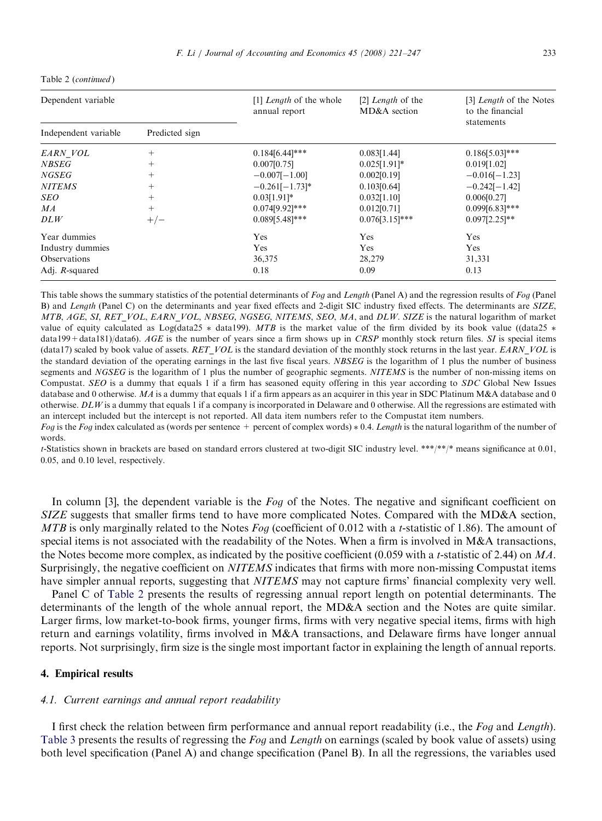#### Table 2 (continued )

| Dependent variable   |                | [1] <i>Length</i> of the whole<br>annual report | [2] <i>Length</i> of the<br>MD&A section | [3] <i>Length</i> of the Notes<br>to the financial<br>statements |
|----------------------|----------------|-------------------------------------------------|------------------------------------------|------------------------------------------------------------------|
| Independent variable | Predicted sign |                                                 |                                          |                                                                  |
| EARN VOL             | $^+$           | $0.184[6.44]$ ***                               | 0.083[1.44]                              | $0.186[5.03]***$                                                 |
| <b>NBSEG</b>         | $^{+}$         | 0.007[0.75]                                     | $0.025[1.91]*$                           | 0.019[1.02]                                                      |
| NGSEG                | $^{+}$         | $-0.007[-1.00]$                                 | 0.002[0.19]                              | $-0.016[-1.23]$                                                  |
| <b>NITEMS</b>        | $^+$           | $-0.261[-1.73]*$                                | 0.103[0.64]                              | $-0.242[-1.42]$                                                  |
| <i>SEO</i>           | $^{+}$         | $0.03[1.91]*$                                   | 0.032[1.10]                              | 0.006[0.27]                                                      |
| MA                   | $^{+}$         | $0.074[9.92]***$                                | 0.012[0.71]                              | $0.099[6.83]***$                                                 |
| DLW                  | $+/-$          | $0.089[5.48]$ ***                               | $0.076[3.15]***$                         | $0.097[2.25]**$                                                  |
| Year dummies         |                | Yes                                             | Yes                                      | Yes                                                              |
| Industry dummies     |                | Yes                                             | Yes                                      | Yes                                                              |
| <b>Observations</b>  |                | 36,375                                          | 28,279                                   | 31,331                                                           |
| Adj. R-squared       |                | 0.18                                            | 0.09                                     | 0.13                                                             |

This table shows the summary statistics of the potential determinants of Fog and Length (Panel A) and the regression results of Fog (Panel B) and Length (Panel C) on the determinants and year fixed effects and 2-digit SIC industry fixed effects. The determinants are SIZE, MTB, AGE, SI, RET VOL, EARN VOL, NBSEG, NGSEG, NITEMS, SEO, MA, and DLW. SIZE is the natural logarithm of market value of equity calculated as Log(data25  $*$  data199). MTB is the market value of the firm divided by its book value ((data25  $*$ data199+data181)/data6). AGE is the number of years since a firm shows up in CRSP monthly stock return files. SI is special items (data17) scaled by book value of assets. RET\_VOL is the standard deviation of the monthly stock returns in the last year. EARN\_VOL is the standard deviation of the operating earnings in the last five fiscal years. NBSEG is the logarithm of 1 plus the number of business segments and NGSEG is the logarithm of 1 plus the number of geographic segments. NITEMS is the number of non-missing items on Compustat. SEO is a dummy that equals 1 if a firm has seasoned equity offering in this year according to SDC Global New Issues database and 0 otherwise. MA is a dummy that equals 1 if a firm appears as an acquirer in this year in SDC Platinum M&A database and 0 otherwise.  $DLW$  is a dummy that equals 1 if a company is incorporated in Delaware and 0 otherwise. All the regressions are estimated with an intercept included but the intercept is not reported. All data item numbers refer to the Compustat item numbers.

Fog is the Fog index calculated as (words per sentence + percent of complex words)  $* 0.4$ . Length is the natural logarithm of the number of words.

t-Statistics shown in brackets are based on standard errors clustered at two-digit SIC industry level. \*\*\*/\*\*/\* means significance at 0.01, 0.05, and 0.10 level, respectively.

In column [3], the dependent variable is the Fog of the Notes. The negative and significant coefficient on SIZE suggests that smaller firms tend to have more complicated Notes. Compared with the MD&A section, MTB is only marginally related to the Notes Fog (coefficient of 0.012 with a t-statistic of 1.86). The amount of special items is not associated with the readability of the Notes. When a firm is involved in M&A transactions, the Notes become more complex, as indicated by the positive coefficient (0.059 with a t-statistic of 2.44) on  $MA$ . Surprisingly, the negative coefficient on NITEMS indicates that firms with more non-missing Compustat items have simpler annual reports, suggesting that *NITEMS* may not capture firms' financial complexity very well.

Panel C of [Table 2](#page-11-0) presents the results of regressing annual report length on potential determinants. The determinants of the length of the whole annual report, the MD&A section and the Notes are quite similar. Larger firms, low market-to-book firms, younger firms, firms with very negative special items, firms with high return and earnings volatility, firms involved in M&A transactions, and Delaware firms have longer annual reports. Not surprisingly, firm size is the single most important factor in explaining the length of annual reports.

# 4. Empirical results

### 4.1. Current earnings and annual report readability

I first check the relation between firm performance and annual report readability (i.e., the Fog and Length). [Table 3](#page-13-0) presents the results of regressing the Fog and Length on earnings (scaled by book value of assets) using both level specification (Panel A) and change specification (Panel B). In all the regressions, the variables used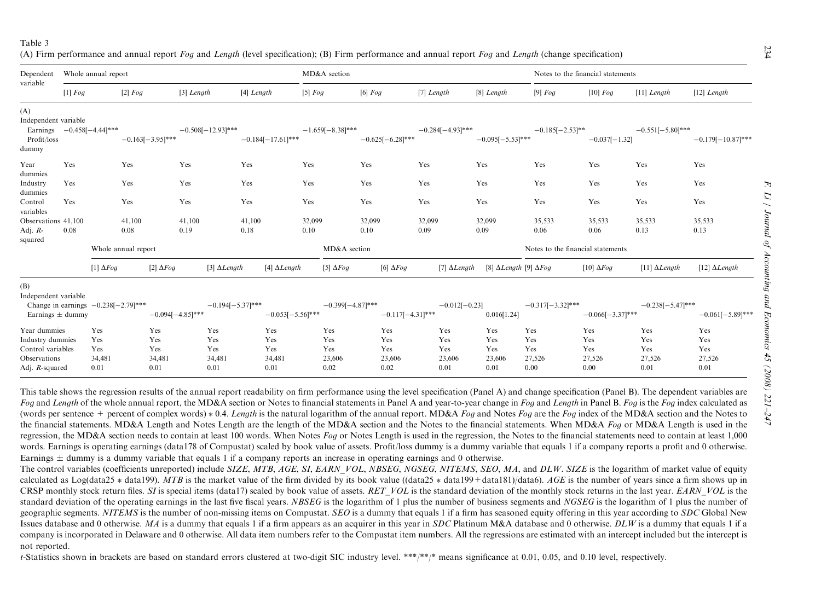#### <span id="page-13-0"></span>Table 3

#### (A) Firm performance and annual report Fog and Length (level specification); (B) Firm performance and annual report Fog and Length (change specification)

| Dependent                                                                               |            | Whole annual report                    |                                     |                                     |                     |                                     | MD&A section                        |                                     |                                     |                                      |                                     | Notes to the financial statements   |                                     |                                     |
|-----------------------------------------------------------------------------------------|------------|----------------------------------------|-------------------------------------|-------------------------------------|---------------------|-------------------------------------|-------------------------------------|-------------------------------------|-------------------------------------|--------------------------------------|-------------------------------------|-------------------------------------|-------------------------------------|-------------------------------------|
| variable                                                                                | $[1]$ Fog  | $[2]$ Fog                              |                                     | [3] Length                          | [4] Length          |                                     | $[5]$ Fog                           | $[6]$ Fog                           | [7] Length                          | [8] Length                           | $[9]$ Fog                           | $[10]$ Fog                          | [11] Length                         | [12] Length                         |
| (A)<br>Independent variable<br>Earnings $-0.458[-4.44]$ ***<br>Profit/loss<br>dummy     |            |                                        | $-0.163[-3.95]$ ***                 | $-0.508[-12.93]$ ***                |                     | $-0.184[-17.61]***$                 | $-1.659[-8.38]$ ***                 | $-0.625[-6.28]$ ***                 | $-0.284[-4.93]$ ***                 | $-0.095[-5.53]$ ***                  | $-0.185[-2.53]$ **                  | $-0.037[-1.32]$                     | $-0.551[-5.80]$ ***                 | $-0.179[-10.87]***$                 |
| Year<br>dummies<br>Industry                                                             | Yes<br>Yes | Yes<br>Yes                             |                                     | Yes<br>Yes                          | Yes<br>Yes          |                                     | Yes<br>Yes                          | Yes<br>Yes                          | Yes<br>Yes                          | Yes<br>Yes                           | Yes<br>Yes                          | Yes<br>Yes                          | Yes<br>Yes                          | Yes<br>Yes                          |
| dummies<br>Control<br>variables                                                         | Yes        | Yes                                    |                                     | Yes                                 | Yes                 |                                     | Yes                                 | Yes                                 | Yes                                 | Yes                                  | Yes                                 | Yes                                 | Yes                                 | Yes                                 |
| Observations 41,100<br>Adj. $R$ -<br>squared                                            | 0.08       | 41,100<br>0.08                         |                                     | 41,100<br>0.19                      | 41,100<br>0.18      |                                     | 32,099<br>0.10                      | 32,099<br>0.10                      | 32,099<br>0.09                      | 32,099<br>0.09                       | 35,533<br>0.06                      | 35,533<br>0.06                      | 35,533<br>0.13                      | 35,533<br>0.13                      |
|                                                                                         |            | Whole annual report                    |                                     |                                     |                     |                                     | MD&A section                        |                                     |                                     |                                      |                                     | Notes to the financial statements   |                                     |                                     |
|                                                                                         |            | [1] $\Delta Fog$                       | [2] $\Delta Fog$                    |                                     | [3] $\Delta Length$ | [4] $\Delta Length$                 | [5] $\Delta Fog$                    | [6] $\Delta Fog$                    | [7] $\Delta Length$                 | [8] $\Delta Length$ [9] $\Delta Fog$ |                                     | [10] $\Delta Fog$                   | [11] $\Delta Length$                | [12] $\Delta Length$                |
| (B)<br>Independent variable<br>Earnings $\pm$ dummy                                     |            | Change in earnings $-0.238[-2.79]$ *** | $-0.094[-4.85]$ ***                 |                                     | $-0.194[-5.37]$ *** | $-0.053[-5.56]$ ***                 | $-0.399[-4.87]$ ***                 | $-0.117[-4.31]$ ***                 | $-0.012[-0.23]$                     | 0.016[1.24]                          | $-0.317[-3.32]$ ***                 | $-0.066[-3.37]***$                  | $-0.238[-5.47]$ ***                 | $-0.061[-5.89]$ ***                 |
| Year dummies<br>Industry dummies<br>Control variables<br>Observations<br>Adj. R-squared |            | Yes<br>Yes<br>Yes<br>34,481<br>0.01    | Yes<br>Yes<br>Yes<br>34,481<br>0.01 | Yes<br>Yes<br>Yes<br>34,481<br>0.01 |                     | Yes<br>Yes<br>Yes<br>34,481<br>0.01 | Yes<br>Yes<br>Yes<br>23,606<br>0.02 | Yes<br>Yes<br>Yes<br>23,606<br>0.02 | Yes<br>Yes<br>Yes<br>23,606<br>0.01 | Yes<br>Yes<br>Yes<br>23,606<br>0.01  | Yes<br>Yes<br>Yes<br>27,526<br>0.00 | Yes<br>Yes<br>Yes<br>27,526<br>0.00 | Yes<br>Yes<br>Yes<br>27,526<br>0.01 | Yes<br>Yes<br>Yes<br>27,526<br>0.01 |

This table shows the regression results of the annual report readability on firm performance using the level specification (Panel A) and change specification (Panel B). The dependent variables are Fog and Length of the whole annual report, the MD&A section or Notes to financial statements in Panel A and year-to-year change in Fog and Length in Panel B. Fog is the Fog index calculated as (words per sentence + percent of complex words)  $* 0.4$ . Length is the natural logarithm of the annual report. MD&A Fog and Notes Fog are the Fog index of the MD&A section and the Notes to the financial statements. MD&A Length and Notes Length are the length of the MD&A section and the Notes to the financial statements. When MD&A Fog or MD&A Length is used in the regression, the MD&A section needs to contain at least 100 words. When Notes Fog or Notes Length is used in the regression, the Notes to the financial statements need to contain at least 1,000 words. Earnings is operating earnings (data178 of Compustat) scaled by book value of assets. Profit/loss dummy is <sup>a</sup> dummy variable that equals 1 if <sup>a</sup> company reports <sup>a</sup> profit and 0 otherwise. Earnings  $\pm$  dummy is a dummy variable that equals 1 if a company reports an increase in operating earnings and 0 otherwise.

The control variables (coefficients unreported) include SIZE, MTB, AGE, SI, EARN VOL, NBSEG, NGSEG, NITEMS, SEO, MA, and DLW. SIZE is the logarithm of market value of equity calculated as Log(data25  $*$  data199). MTB is the market value of the firm divided by its book value ((data25  $*$  data199+data181)/data6). AGE is the number of years since a firm shows up in CRSP monthly stock return files. SI is special items (data17) scaled by book value of assets. RET VOL is the standard deviation of the monthly stock returns in the last year. EARN\_VOL is the standard deviation of the operating earnings in the last five fiscal years. NBSEG is the logarithm of 1 plus the number of business segments and NGSEG is the logarithm of 1 plus the number of geographic segments. NITEMS is the number of non-missing items on Compustat. SEO is a dummy that equals 1 if a firm has seasoned equity offering in this year according to SDC Global New Issues database and 0 otherwise. MA is a dummy that equals 1 if a firm appears as an acquirer in this year in SDC Platinum M&A database and 0 otherwise. DLW is a dummy that equals 1 if a company is incorporated in Delaware and 0 otherwise. All data item numbers refer to the Compustat item numbers. All the regressions are estimated with an intercept included but the intercept is not reported.

<sup>t</sup>-Statistics shown in brackets are based on standard errors clustered at two-digit SIC industry level. \*\*\*/\*\*/\* means significance at 0.01, 0.05, and 0.10 level, respectively.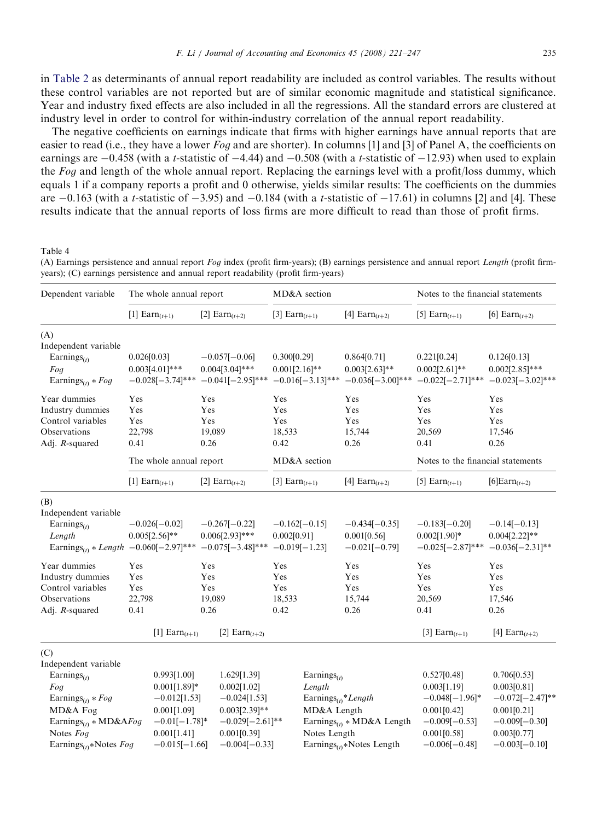<span id="page-14-0"></span>in [Table 2](#page-11-0) as determinants of annual report readability are included as control variables. The results without these control variables are not reported but are of similar economic magnitude and statistical significance. Year and industry fixed effects are also included in all the regressions. All the standard errors are clustered at industry level in order to control for within-industry correlation of the annual report readability.

The negative coefficients on earnings indicate that firms with higher earnings have annual reports that are easier to read (i.e., they have a lower Fog and are shorter). In columns [1] and [3] of Panel A, the coefficients on earnings are  $-0.458$  (with a *t*-statistic of  $-4.44$ ) and  $-0.508$  (with a *t*-statistic of  $-12.93$ ) when used to explain the Fog and length of the whole annual report. Replacing the earnings level with a profit/loss dummy, which equals 1 if a company reports a profit and 0 otherwise, yields similar results: The coefficients on the dummies are  $-0.163$  (with a *t*-statistic of  $-3.95$ ) and  $-0.184$  (with a *t*-statistic of  $-17.61$ ) in columns [2] and [4]. These results indicate that the annual reports of loss firms are more difficult to read than those of profit firms.

Table 4

(A) Earnings persistence and annual report Fog index (profit firm-years); (B) earnings persistence and annual report Length (profit firmyears); (C) earnings persistence and annual report readability (profit firm-years)

| Dependent variable                                | The whole annual report   |                                         | MD&A section                    |                                       | Notes to the financial statements |                                         |  |
|---------------------------------------------------|---------------------------|-----------------------------------------|---------------------------------|---------------------------------------|-----------------------------------|-----------------------------------------|--|
|                                                   | [1] $\text{Earn}_{(t+1)}$ | [2] $\text{Earn}_{(t+2)}$               | [3] $\text{Earn}_{(t+1)}$       | [4] $\text{Earn}_{(t+2)}$             | [5] $\text{Earn}_{(t+1)}$         | [6] $\text{Earn}_{(t+2)}$               |  |
| (A)                                               |                           |                                         |                                 |                                       |                                   |                                         |  |
| Independent variable                              |                           |                                         |                                 |                                       |                                   |                                         |  |
| Earning $s_{(t)}$                                 | 0.026[0.03]               | $-0.057[-0.06]$                         | 0.300[0.29]                     | 0.864[0.71]                           | 0.221[0.24]                       | 0.126[0.13]                             |  |
| Fog                                               | $0.003[4.01]***$          | $0.004[3.04]$ ***                       | $0.001[2.16]$ **                | $0.003[2.63]**$                       | $0.002[2.61]**$                   | $0.002[2.85]$ ***                       |  |
| Earnings <sub>(t)</sub> * Fog                     |                           | $-0.028[-3.74]$ *** $-0.041[-2.95]$ *** | $-0.016[-3.13]***$              | $-0.036[-3.00]***$                    |                                   | $-0.022[-2.71]$ *** $-0.023[-3.02]$ *** |  |
| Year dummies                                      | Yes                       | Yes                                     | Yes                             | Yes                                   | Yes                               | Yes                                     |  |
| Industry dummies                                  | Yes                       | Yes                                     | Yes                             | Yes                                   | Yes                               | Yes                                     |  |
| Control variables                                 | Yes                       | Yes                                     | Yes                             | Yes                                   | Yes                               | Yes                                     |  |
| Observations                                      | 22,798                    | 19,089                                  | 18,533                          | 15,744                                | 20,569                            | 17,546                                  |  |
| Adj. R-squared                                    | 0.41                      | 0.26                                    | 0.42                            | 0.26                                  | 0.41                              | 0.26                                    |  |
|                                                   | The whole annual report   |                                         | MD&A section                    |                                       |                                   | Notes to the financial statements       |  |
|                                                   | [1] $\text{Earn}_{(t+1)}$ | [2] $\text{Earn}_{(t+2)}$               | [3] $\text{Earn}_{(t+1)}$       | [4] $\text{Earn}_{(t+2)}$             | [5] $\text{Earn}_{(t+1)}$         | [6]Earn $(t+2)$                         |  |
| (B)                                               |                           |                                         |                                 |                                       |                                   |                                         |  |
| Independent variable                              |                           |                                         |                                 |                                       |                                   |                                         |  |
| Earning $s_{(t)}$                                 | $-0.026[-0.02]$           | $-0.267[-0.22]$                         | $-0.162[-0.15]$                 | $-0.434[-0.35]$                       | $-0.183[-0.20]$                   | $-0.14[-0.13]$                          |  |
| Length                                            | $0.005[2.56]$ **          | $0.006[2.93]***$                        | 0.002[0.91]                     | 0.001[0.56]                           | $0.002[1.90]*$                    | $0.004[2.22]**$                         |  |
| Earnings <sub>(t)</sub> * Length -0.060[-2.97]*** |                           | $-0.075[-3.48]$ ***                     | $-0.019[-1.23]$                 | $-0.021[-0.79]$                       | $-0.025[-2.87]$ ***               | $-0.036[-2.31]$ **                      |  |
| Year dummies                                      | Yes                       | Yes                                     | Yes                             | Yes                                   | Yes                               | Yes                                     |  |
| Industry dummies                                  | Yes                       | Yes                                     | Yes                             | Yes                                   | Yes                               | Yes                                     |  |
| Control variables                                 | Yes                       | Yes                                     | Yes                             | Yes                                   | Yes                               | Yes                                     |  |
| Observations                                      | 22,798                    | 19,089                                  | 18,533                          | 15,744                                | 20,569                            | 17,546                                  |  |
| Adj. R-squared                                    | 0.41                      | 0.26                                    | 0.42                            | 0.26                                  | 0.41                              | 0.26                                    |  |
|                                                   | [1] $\text{Earn}_{(t+1)}$ | [2] $\text{Earn}_{(t+2)}$               |                                 |                                       | [3] $\text{Earn}_{(t+1)}$         | [4] $\text{Earn}_{(t+2)}$               |  |
| (C)                                               |                           |                                         |                                 |                                       |                                   |                                         |  |
| Independent variable                              |                           |                                         |                                 |                                       |                                   |                                         |  |
| Earnings $_{(t)}$                                 | 0.993[1.00]               | 1.629[1.39]                             | Earnings $_{(t)}$               |                                       | 0.527[0.48]                       | 0.706[0.53]                             |  |
| Fog                                               | $0.001[1.89]*$            | 0.002[1.02]                             | Length                          |                                       | 0.003[1.19]                       | 0.003[0.81]                             |  |
| Earnings <sub>(t)</sub> * $Fog$                   | $-0.012[1.53]$            | $-0.024[1.53]$                          | Earnings <sub>(t)</sub> *Length |                                       | $-0.048[-1.96]*$                  | $-0.072[-2.47]**$                       |  |
| MD&A Fog                                          | 0.001[1.09]               | $0.003[2.39]**$                         | MD&A Length                     |                                       | 0.001[0.42]                       | 0.001[0.21]                             |  |
| Earnings <sub>(t)</sub> * MD&AFog                 | $-0.01[-1.78]*$           | $-0.029[-2.61]**$                       |                                 | Earnings <sub>(t)</sub> * MD&A Length | $-0.009[-0.53]$                   | $-0.009[-0.30]$                         |  |
| Notes Fog                                         | 0.001[1.41]               | 0.001[0.39]                             | Notes Length                    |                                       | 0.001[0.58]                       | 0.003[0.77]                             |  |
| Earnings <sub>(t)</sub> *Notes Fog                | $-0.015[-1.66]$           | $-0.004[-0.33]$                         |                                 | Earnings <sub>(t)</sub> *Notes Length | $-0.006[-0.48]$                   | $-0.003[-0.10]$                         |  |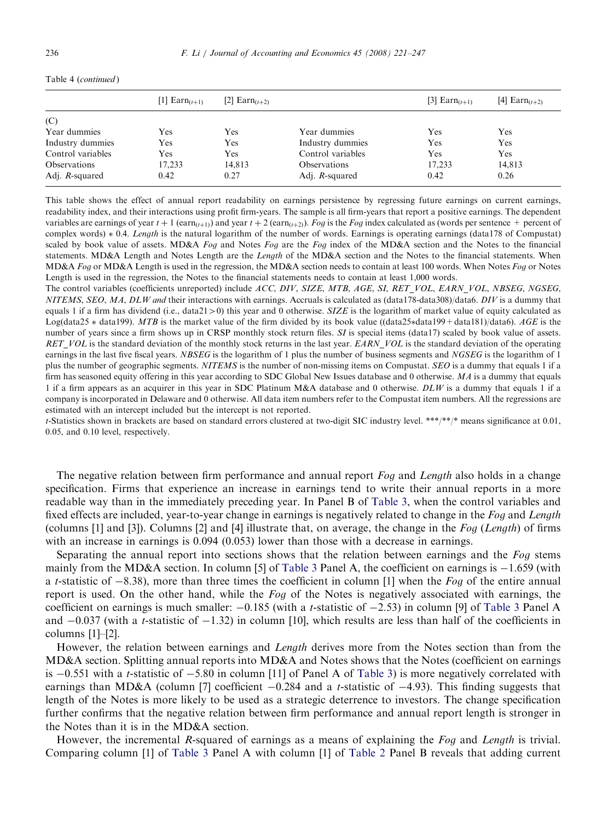|                   | [1] $\text{Earn}_{(t+1)}$ | [2] $\text{Earn}_{(t+2)}$ |                   | [3] $\text{Earn}_{(t+1)}$ | [4] $\text{Earn}_{(t+2)}$ |
|-------------------|---------------------------|---------------------------|-------------------|---------------------------|---------------------------|
| (C)               |                           |                           |                   |                           |                           |
| Year dummies      | Yes                       | Yes                       | Year dummies      | Yes                       | Yes                       |
| Industry dummies  | Yes                       | Yes                       | Industry dummies  | Yes                       | Yes                       |
| Control variables | Yes                       | Yes                       | Control variables | Yes                       | Yes                       |
| Observations      | 17,233                    | 14,813                    | Observations      | 17,233                    | 14,813                    |
| Adj. $R$ -squared | 0.42                      | 0.27                      | Adj. $R$ -squared | 0.42                      | 0.26                      |

Table 4 (continued )

This table shows the effect of annual report readability on earnings persistence by regressing future earnings on current earnings, readability index, and their interactions using profit firm-years. The sample is all firm-years that report a positive earnings. The dependent variables are earnings of year  $t + 1$  (earn<sub> $(t+1)$ </sub>) and year  $t + 2$  (earn<sub> $(t+2)$ </sub>). Fog is the Fog index calculated as (words per sentence + percent of complex words)  $*0.4$ . Length is the natural logarithm of the number of words. Earnings is operating earnings (data178 of Compustat) scaled by book value of assets. MD&A Fog and Notes Fog are the Fog index of the MD&A section and the Notes to the financial statements. MD&A Length and Notes Length are the Length of the MD&A section and the Notes to the financial statements. When MD&A Fog or MD&A Length is used in the regression, the MD&A section needs to contain at least 100 words. When Notes Fog or Notes Length is used in the regression, the Notes to the financial statements needs to contain at least 1,000 words.

The control variables (coefficients unreported) include ACC, DIV, SIZE, MTB, AGE, SI, RET VOL, EARN VOL, NBSEG, NGSEG, NITEMS, SEO, MA, DLW and their interactions with earnings. Accruals is calculated as (data178-data308)/data6. DIV is a dummy that equals 1 if a firm has dividend (i.e., data21 > 0) this year and 0 otherwise.  $SIZE$  is the logarithm of market value of equity calculated as Log(data25  $*$  data199). MTB is the market value of the firm divided by its book value ((data25 $*$ data199+data181)/data6). AGE is the number of years since a firm shows up in CRSP monthly stock return files. SI is special items (data17) scaled by book value of assets. RET\_VOL is the standard deviation of the monthly stock returns in the last year. EARN\_VOL is the standard deviation of the operating earnings in the last five fiscal years. NBSEG is the logarithm of 1 plus the number of business segments and NGSEG is the logarithm of 1 plus the number of geographic segments. NITEMS is the number of non-missing items on Compustat. SEO is a dummy that equals 1 if a firm has seasoned equity offering in this year according to SDC Global New Issues database and 0 otherwise. MA is a dummy that equals 1 if a firm appears as an acquirer in this year in SDC Platinum M&A database and 0 otherwise. DLW is a dummy that equals 1 if a company is incorporated in Delaware and 0 otherwise. All data item numbers refer to the Compustat item numbers. All the regressions are estimated with an intercept included but the intercept is not reported.

*t*-Statistics shown in brackets are based on standard errors clustered at two-digit SIC industry level. \*\*\*/\*\*/\* means significance at 0.01, 0.05, and 0.10 level, respectively.

The negative relation between firm performance and annual report Fog and Length also holds in a change specification. Firms that experience an increase in earnings tend to write their annual reports in a more readable way than in the immediately preceding year. In Panel B of [Table 3](#page-13-0), when the control variables and fixed effects are included, year-to-year change in earnings is negatively related to change in the Fog and Length (columns  $[1]$  and  $[3]$ ). Columns  $[2]$  and  $[4]$  illustrate that, on average, the change in the Fog (Length) of firms with an increase in earnings is 0.094 (0.053) lower than those with a decrease in earnings.

Separating the annual report into sections shows that the relation between earnings and the Fog stems mainly from the MD&A section. In column [5] of [Table 3](#page-13-0) Panel A, the coefficient on earnings is  $-1.659$  (with a *t*-statistic of  $-8.38$ ), more than three times the coefficient in column [1] when the Fog of the entire annual report is used. On the other hand, while the Fog of the Notes is negatively associated with earnings, the coefficient on earnings is much smaller:  $-0.185$  (with a *t*-statistic of  $-2.53$ ) in column [9] of [Table 3](#page-13-0) Panel A and  $-0.037$  (with a *t*-statistic of  $-1.32$ ) in column [10], which results are less than half of the coefficients in columns [1]–[2].

However, the relation between earnings and *Length* derives more from the Notes section than from the MD&A section. Splitting annual reports into MD&A and Notes shows that the Notes (coefficient on earnings is  $-0.551$  with a *t*-statistic of  $-5.80$  in column [11] of Panel A of [Table 3](#page-13-0)) is more negatively correlated with earnings than MD&A (column [7] coefficient  $-0.284$  and a *t*-statistic of  $-4.93$ ). This finding suggests that length of the Notes is more likely to be used as a strategic deterrence to investors. The change specification further confirms that the negative relation between firm performance and annual report length is stronger in the Notes than it is in the MD&A section.

However, the incremental R-squared of earnings as a means of explaining the Fog and Length is trivial. Comparing column [1] of [Table 3](#page-13-0) Panel A with column [1] of [Table 2](#page-11-0) Panel B reveals that adding current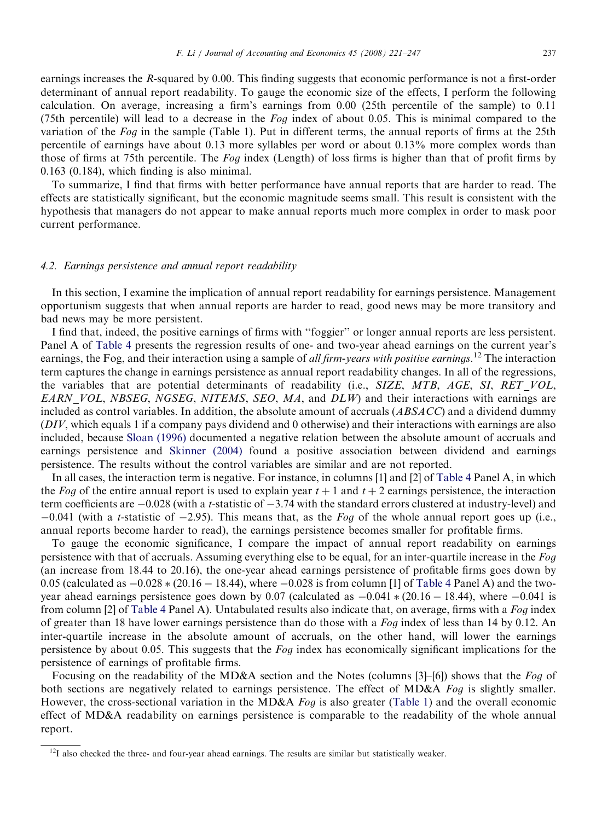earnings increases the R-squared by 0.00. This finding suggests that economic performance is not a first-order determinant of annual report readability. To gauge the economic size of the effects, I perform the following calculation. On average, increasing a firm's earnings from 0.00 (25th percentile of the sample) to 0.11 (75th percentile) will lead to a decrease in the  $Fog$  index of about 0.05. This is minimal compared to the variation of the Fog in the sample (Table 1). Put in different terms, the annual reports of firms at the 25th percentile of earnings have about 0.13 more syllables per word or about 0.13% more complex words than those of firms at 75th percentile. The Fog index (Length) of loss firms is higher than that of profit firms by 0.163 (0.184), which finding is also minimal.

To summarize, I find that firms with better performance have annual reports that are harder to read. The effects are statistically significant, but the economic magnitude seems small. This result is consistent with the hypothesis that managers do not appear to make annual reports much more complex in order to mask poor current performance.

# 4.2. Earnings persistence and annual report readability

In this section, I examine the implication of annual report readability for earnings persistence. Management opportunism suggests that when annual reports are harder to read, good news may be more transitory and bad news may be more persistent.

I find that, indeed, the positive earnings of firms with ''foggier'' or longer annual reports are less persistent. Panel A of [Table 4](#page-14-0) presents the regression results of one- and two-year ahead earnings on the current year's earnings, the Fog, and their interaction using a sample of all firm-years with positive earnings.<sup>12</sup> The interaction term captures the change in earnings persistence as annual report readability changes. In all of the regressions, the variables that are potential determinants of readability (i.e., SIZE, MTB, AGE, SI, RET VOL, EARN VOL, NBSEG, NGSEG, NITEMS, SEO, MA, and DLW) and their interactions with earnings are included as control variables. In addition, the absolute amount of accruals  $(ABSACC)$  and a dividend dummy (DIV, which equals 1 if a company pays dividend and 0 otherwise) and their interactions with earnings are also included, because [Sloan \(1996\)](#page-26-0) documented a negative relation between the absolute amount of accruals and earnings persistence and [Skinner \(2004\)](#page-26-0) found a positive association between dividend and earnings persistence. The results without the control variables are similar and are not reported.

In all cases, the interaction term is negative. For instance, in columns [1] and [2] of [Table 4](#page-14-0) Panel A, in which the Fog of the entire annual report is used to explain year  $t + 1$  and  $t + 2$  earnings persistence, the interaction term coefficients are  $-0.028$  (with a *t*-statistic of  $-3.74$  with the standard errors clustered at industry-level) and  $-0.041$  (with a *t*-statistic of  $-2.95$ ). This means that, as the Fog of the whole annual report goes up (i.e., annual reports become harder to read), the earnings persistence becomes smaller for profitable firms.

To gauge the economic significance, I compare the impact of annual report readability on earnings persistence with that of accruals. Assuming everything else to be equal, for an inter-quartile increase in the Fog (an increase from 18.44 to 20.16), the one-year ahead earnings persistence of profitable firms goes down by 0.05 (calculated as  $-0.028*(20.16-18.44)$ , where  $-0.028$  is from column [1] of [Table 4](#page-14-0) Panel A) and the twoyear ahead earnings persistence goes down by 0.07 (calculated as  $-0.041 * (20.16 - 18.44)$ , where  $-0.041$  is from column [2] of [Table 4](#page-14-0) Panel A). Untabulated results also indicate that, on average, firms with a Fog index of greater than 18 have lower earnings persistence than do those with a Fog index of less than 14 by 0.12. An inter-quartile increase in the absolute amount of accruals, on the other hand, will lower the earnings persistence by about 0.05. This suggests that the Fog index has economically significant implications for the persistence of earnings of profitable firms.

Focusing on the readability of the MD&A section and the Notes (columns [3]-[6]) shows that the Fog of both sections are negatively related to earnings persistence. The effect of MD&A Fog is slightly smaller. However, the cross-sectional variation in the MD&A Fog is also greater [\(Table 1\)](#page-6-0) and the overall economic effect of MD&A readability on earnings persistence is comparable to the readability of the whole annual report.

 $12I$  also checked the three- and four-year ahead earnings. The results are similar but statistically weaker.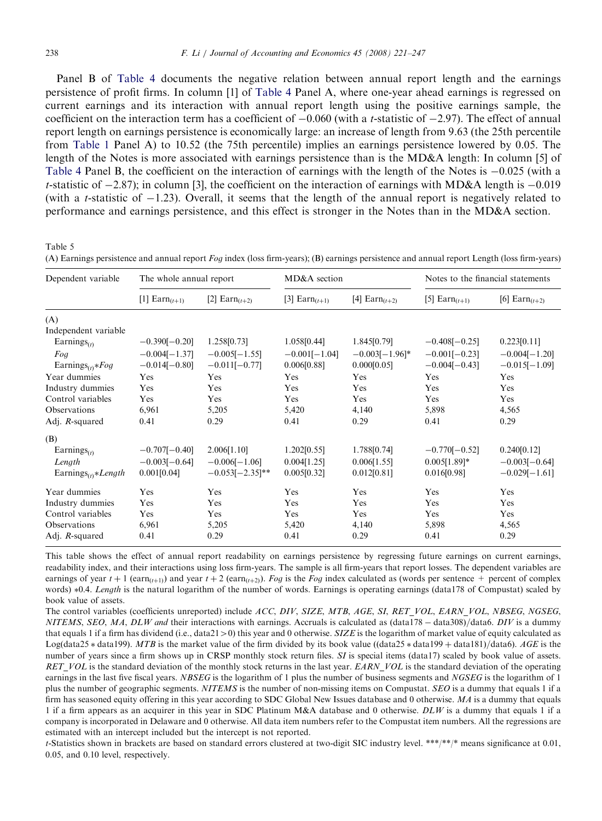<span id="page-17-0"></span>Panel B of [Table 4](#page-14-0) documents the negative relation between annual report length and the earnings persistence of profit firms. In column [1] of [Table 4](#page-14-0) Panel A, where one-year ahead earnings is regressed on current earnings and its interaction with annual report length using the positive earnings sample, the coefficient on the interaction term has a coefficient of  $-0.060$  (with a *t*-statistic of  $-2.97$ ). The effect of annual report length on earnings persistence is economically large: an increase of length from 9.63 (the 25th percentile from [Table 1](#page-6-0) Panel A) to 10.52 (the 75th percentile) implies an earnings persistence lowered by 0.05. The length of the Notes is more associated with earnings persistence than is the MD&A length: In column [5] of [Table 4](#page-14-0) Panel B, the coefficient on the interaction of earnings with the length of the Notes is  $-0.025$  (with a *t*-statistic of  $-2.87$ ; in column [3], the coefficient on the interaction of earnings with MD&A length is  $-0.019$ (with a *t*-statistic of  $-1.23$ ). Overall, it seems that the length of the annual report is negatively related to performance and earnings persistence, and this effect is stronger in the Notes than in the MD&A section.

Table 5

|  | (A) Earnings persistence and annual report Fog index (loss firm-years): (B) earnings persistence and annual report Length (loss firm-years) |  |  |  |  |  |  |
|--|---------------------------------------------------------------------------------------------------------------------------------------------|--|--|--|--|--|--|
|  |                                                                                                                                             |  |  |  |  |  |  |

| Dependent variable              | The whole annual report   |                           | MD&A section              |                           | Notes to the financial statements |                           |  |
|---------------------------------|---------------------------|---------------------------|---------------------------|---------------------------|-----------------------------------|---------------------------|--|
|                                 | [1] $\text{Earn}_{(t+1)}$ | [2] $\text{Earn}_{(t+2)}$ | [3] $\text{Earn}_{(t+1)}$ | [4] $\text{Earn}_{(t+2)}$ | [5] $\text{Earn}_{(t+1)}$         | [6] $\text{Earn}_{(t+2)}$ |  |
| (A)                             |                           |                           |                           |                           |                                   |                           |  |
| Independent variable            |                           |                           |                           |                           |                                   |                           |  |
| Earnings $_{(t)}$               | $-0.390[-0.20]$           | 1.258[0.73]               | 1.058[0.44]               | 1.845[0.79]               | $-0.408[-0.25]$                   | 0.223[0.11]               |  |
| Fog                             | $-0.004[-1.37]$           | $-0.005[-1.55]$           | $-0.001[-1.04]$           | $-0.003[-1.96]*$          | $-0.001[-0.23]$                   | $-0.004[-1.20]$           |  |
| Earnings <sub>(t)</sub> * $Fog$ | $-0.014[-0.80]$           | $-0.011[-0.77]$           | 0.006[0.88]               | 0.000[0.05]               | $-0.004[-0.43]$                   | $-0.015[-1.09]$           |  |
| Year dummies                    | Yes                       | Yes                       | Yes                       | Yes                       | Yes                               | Yes                       |  |
| Industry dummies                | Yes                       | Yes                       | Yes                       | Yes                       | Yes                               | Yes                       |  |
| Control variables               | Yes                       | Yes                       | Yes                       | Yes                       | Yes                               | Yes                       |  |
| <b>Observations</b>             | 6,961                     | 5,205                     | 5,420                     | 4,140                     | 5,898                             | 4,565                     |  |
| Adj. $R$ -squared               | 0.41                      | 0.29                      | 0.41                      | 0.29                      | 0.41                              | 0.29                      |  |
| (B)                             |                           |                           |                           |                           |                                   |                           |  |
| Earnings $_{(t)}$               | $-0.707[-0.40]$           | 2.006[1.10]               | 1.202[0.55]               | 1.788[0.74]               | $-0.770[-0.52]$                   | 0.240[0.12]               |  |
| Length                          | $-0.003[-0.64]$           | $-0.006[-1.06]$           | 0.004[1.25]               | 0.006[1.55]               | $0.005[1.89]*$                    | $-0.003[-0.64]$           |  |
| Earnings <sub>(t)</sub> *Length | 0.001[0.04]               | $-0.053[-2.35]$ **        | 0.005[0.32]               | 0.012[0.81]               | 0.016[0.98]                       | $-0.029[-1.61]$           |  |
| Year dummies                    | Yes                       | Yes                       | Yes                       | Yes                       | Yes                               | Yes                       |  |
| Industry dummies                | Yes                       | Yes                       | Yes                       | Yes                       | Yes                               | Yes                       |  |
| Control variables               | Yes                       | Yes                       | Yes                       | Yes                       | Yes                               | Yes                       |  |
| <b>Observations</b>             | 6,961                     | 5,205                     | 5,420                     | 4,140                     | 5,898                             | 4,565                     |  |
| Adj. $R$ -squared               | 0.41                      | 0.29                      | 0.41                      | 0.29                      | 0.41                              | 0.29                      |  |

This table shows the effect of annual report readability on earnings persistence by regressing future earnings on current earnings, readability index, and their interactions using loss firm-years. The sample is all firm-years that report losses. The dependent variables are earnings of year  $t + 1$  (earn $(t+1)$ ) and year  $t + 2$  (earn $(t+2)$ ). Fog is the Fog index calculated as (words per sentence + percent of complex words)  $*0.4$ . Length is the natural logarithm of the number of words. Earnings is operating earnings (data178 of Compustat) scaled by book value of assets.

The control variables (coefficients unreported) include ACC, DIV, SIZE, MTB, AGE, SI, RET\_VOL, EARN\_VOL, NBSEG, NGSEG, NITEMS, SEO, MA, DLW and their interactions with earnings. Accruals is calculated as  $(data178 - data308)/data6$ . DIV is a dummy that equals 1 if a firm has dividend (i.e., data21 > 0) this year and 0 otherwise. SIZE is the logarithm of market value of equity calculated as Log(data25 \* data199). MTB is the market value of the firm divided by its book value ((data25 \* data199 + data181)/data6). AGE is the number of years since a firm shows up in CRSP monthly stock return files. SI is special items (data17) scaled by book value of assets. RET\_VOL is the standard deviation of the monthly stock returns in the last year. EARN\_VOL is the standard deviation of the operating earnings in the last five fiscal years. NBSEG is the logarithm of 1 plus the number of business segments and NGSEG is the logarithm of 1 plus the number of geographic segments. NITEMS is the number of non-missing items on Compustat. SEO is a dummy that equals 1 if a firm has seasoned equity offering in this year according to SDC Global New Issues database and 0 otherwise. MA is a dummy that equals 1 if a firm appears as an acquirer in this year in SDC Platinum M&A database and 0 otherwise.  $DLW$  is a dummy that equals 1 if a company is incorporated in Delaware and 0 otherwise. All data item numbers refer to the Compustat item numbers. All the regressions are estimated with an intercept included but the intercept is not reported.

t-Statistics shown in brackets are based on standard errors clustered at two-digit SIC industry level. \*\*\*/\*\*/\* means significance at 0.01, 0.05, and 0.10 level, respectively.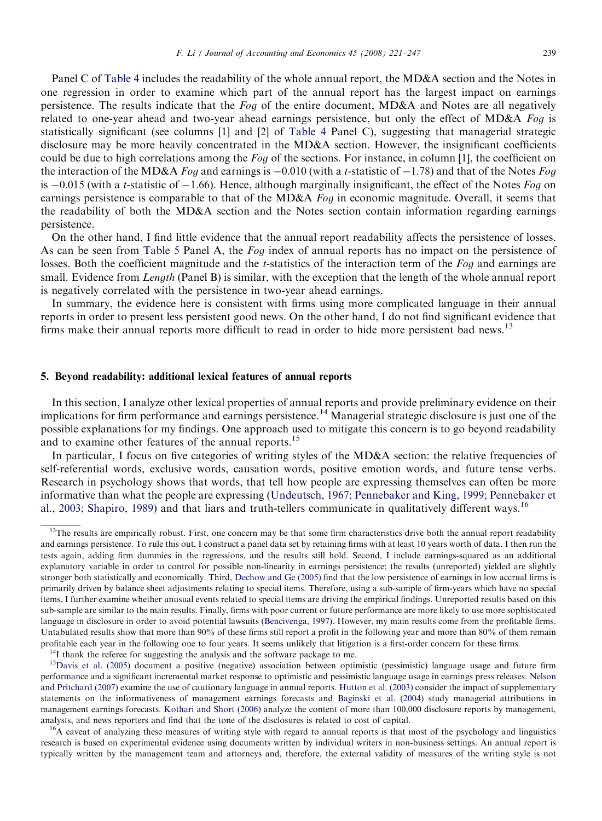Panel C of [Table 4](#page-14-0) includes the readability of the whole annual report, the MD&A section and the Notes in one regression in order to examine which part of the annual report has the largest impact on earnings persistence. The results indicate that the Fog of the entire document, MD&A and Notes are all negatively related to one-year ahead and two-year ahead earnings persistence, but only the effect of MD&A Fog is statistically significant (see columns [1] and [2] of [Table 4](#page-14-0) Panel C), suggesting that managerial strategic disclosure may be more heavily concentrated in the MD&A section. However, the insignificant coefficients could be due to high correlations among the Fog of the sections. For instance, in column [1], the coefficient on the interaction of the MD&A *Fog* and earnings is  $-0.010$  (with a *t*-statistic of  $-1.78$ ) and that of the Notes *Fog* is  $-0.015$  (with a *t*-statistic of  $-1.66$ ). Hence, although marginally insignificant, the effect of the Notes *Fog* on earnings persistence is comparable to that of the MD&A Fog in economic magnitude. Overall, it seems that the readability of both the MD&A section and the Notes section contain information regarding earnings persistence.

On the other hand, I find little evidence that the annual report readability affects the persistence of losses. As can be seen from [Table 5](#page-17-0) Panel A, the Fog index of annual reports has no impact on the persistence of losses. Both the coefficient magnitude and the t-statistics of the interaction term of the Fog and earnings are small. Evidence from Length (Panel B) is similar, with the exception that the length of the whole annual report is negatively correlated with the persistence in two-year ahead earnings.

In summary, the evidence here is consistent with firms using more complicated language in their annual reports in order to present less persistent good news. On the other hand, I do not find significant evidence that firms make their annual reports more difficult to read in order to hide more persistent bad news.<sup>13</sup>

# 5. Beyond readability: additional lexical features of annual reports

In this section, I analyze other lexical properties of annual reports and provide preliminary evidence on their implications for firm performance and earnings persistence.<sup>14</sup> Managerial strategic disclosure is just one of the possible explanations for my findings. One approach used to mitigate this concern is to go beyond readability and to examine other features of the annual reports.<sup>15</sup>

In particular, I focus on five categories of writing styles of the MD&A section: the relative frequencies of self-referential words, exclusive words, causation words, positive emotion words, and future tense verbs. Research in psychology shows that words, that tell how people are expressing themselves can often be more informative than what the people are expressing ([Undeutsch, 1967; Pennebaker and King, 1999; Pennebaker et](#page-26-0) [al., 2003; Shapiro, 1989\)](#page-26-0) and that liars and truth-tellers communicate in qualitatively different ways.<sup>16</sup>

<sup>&</sup>lt;sup>13</sup>The results are empirically robust. First, one concern may be that some firm characteristics drive both the annual report readability and earnings persistence. To rule this out, I construct a panel data set by retaining firms with at least 10 years worth of data. I then run the tests again, adding firm dummies in the regressions, and the results still hold. Second, I include earnings-squared as an additional explanatory variable in order to control for possible non-linearity in earnings persistence; the results (unreported) yielded are slightly stronger both statistically and economically. Third, [Dechow and Ge \(2005\)](#page-25-0) find that the low persistence of earnings in low accrual firms is primarily driven by balance sheet adjustments relating to special items. Therefore, using a sub-sample of firm-years which have no special items, I further examine whether unusual events related to special items are driving the empirical findings. Unreported results based on this sub-sample are similar to the main results. Finally, firms with poor current or future performance are more likely to use more sophisticated language in disclosure in order to avoid potential lawsuits [\(Bencivenga, 1997](#page-25-0)). However, my main results come from the profitable firms. Untabulated results show that more than 90% of these firms still report a profit in the following year and more than 80% of them remain profitable each year in the following one to four years. It seems unlikely that litigation is a first-order concern for these firms. <sup>14</sup>I thank the referee for suggesting the analysis and the software package to me.

<sup>&</sup>lt;sup>15</sup>[Davis et al. \(2005\)](#page-25-0) document a positive (negative) association between optimistic (pessimistic) language usage and future firm performance and a significant incremental market response to optimistic and pessimistic language usage in earnings press releases. [Nelson](#page-26-0) [and Pritchard \(2007\)](#page-26-0) examine the use of cautionary language in annual reports. [Hutton et al. \(2003\)](#page-26-0) consider the impact of supplementary statements on the informativeness of management earnings forecasts and [Baginski et al. \(2004\)](#page-25-0) study managerial attributions in management earnings forecasts. [Kothari and Short \(2006\)](#page-26-0) analyze the content of more than 100,000 disclosure reports by management, analysts, and news reporters and find that the tone of the disclosures is related to cost of capital.<br><sup>16</sup>A caveat of analyzing these measures of writing style with regard to annual reports is that most of the psychology a

research is based on experimental evidence using documents written by individual writers in non-business settings. An annual report is typically written by the management team and attorneys and, therefore, the external validity of measures of the writing style is not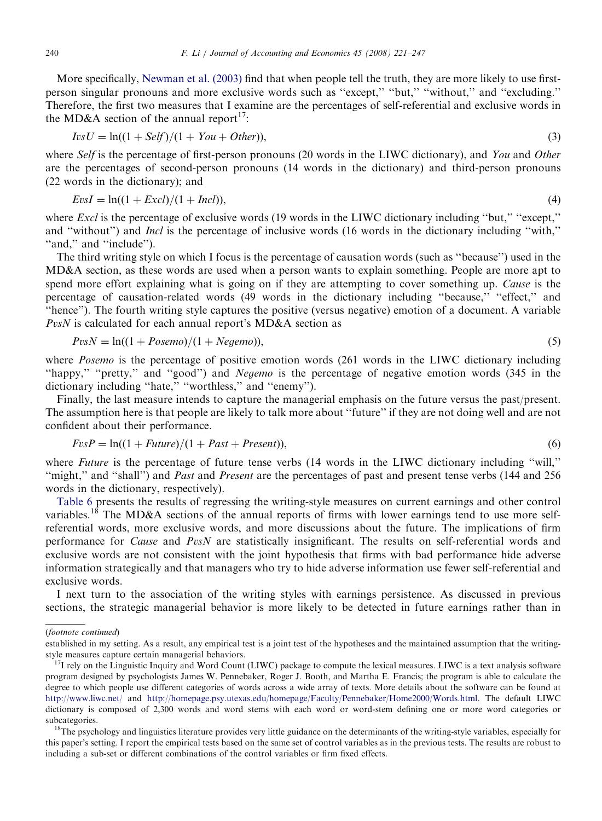More specifically, [Newman et al. \(2003\)](#page-26-0) find that when people tell the truth, they are more likely to use firstperson singular pronouns and more exclusive words such as ''except,'' ''but,'' ''without,'' and ''excluding.'' Therefore, the first two measures that I examine are the percentages of self-referential and exclusive words in the MD&A section of the annual report<sup>17</sup>:

$$
IvsU = \ln((1 + Self)/(1 + You + Other)),
$$
\n(3)

where Self is the percentage of first-person pronouns (20 words in the LIWC dictionary), and You and Other are the percentages of second-person pronouns (14 words in the dictionary) and third-person pronouns (22 words in the dictionary); and

$$
EvsI = \ln((1 + Excl)/(1 + Inc l)),\tag{4}
$$

where  $Excl$  is the percentage of exclusive words (19 words in the LIWC dictionary including "but," "except," and "without") and *Incl* is the percentage of inclusive words (16 words in the dictionary including "with," "and," and "include").

The third writing style on which I focus is the percentage of causation words (such as ''because'') used in the MD&A section, as these words are used when a person wants to explain something. People are more apt to spend more effort explaining what is going on if they are attempting to cover something up. *Cause* is the percentage of causation-related words (49 words in the dictionary including "because," "effect," and ''hence''). The fourth writing style captures the positive (versus negative) emotion of a document. A variable PvsN is calculated for each annual report's MD&A section as

$$
PvSN = \ln((1 + Posemo)/(1 + Negemo)),\tag{5}
$$

where *Posemo* is the percentage of positive emotion words (261 words in the LIWC dictionary including "happy," "pretty," and "good") and *Negemo* is the percentage of negative emotion words (345 in the dictionary including ''hate,'' ''worthless,'' and ''enemy'').

Finally, the last measure intends to capture the managerial emphasis on the future versus the past/present. The assumption here is that people are likely to talk more about ''future'' if they are not doing well and are not confident about their performance.

$$
F \circ P = \ln((1 + Future)/(1 + Past + Present)),\tag{6}
$$

where *Future* is the percentage of future tense verbs (14 words in the LIWC dictionary including "will," "might," and "shall") and *Past* and *Present* are the percentages of past and present tense verbs (144 and 256) words in the dictionary, respectively).

[Table 6](#page-20-0) presents the results of regressing the writing-style measures on current earnings and other control variables.<sup>18</sup> The MD&A sections of the annual reports of firms with lower earnings tend to use more selfreferential words, more exclusive words, and more discussions about the future. The implications of firm performance for Cause and PvsN are statistically insignificant. The results on self-referential words and exclusive words are not consistent with the joint hypothesis that firms with bad performance hide adverse information strategically and that managers who try to hide adverse information use fewer self-referential and exclusive words.

I next turn to the association of the writing styles with earnings persistence. As discussed in previous sections, the strategic managerial behavior is more likely to be detected in future earnings rather than in

<sup>(</sup>footnote continued)

established in my setting. As a result, any empirical test is a joint test of the hypotheses and the maintained assumption that the writingstyle measures capture certain managerial behaviors.<br><sup>17</sup>I rely on the Linguistic Inquiry and Word Count (LIWC) package to compute the lexical measures. LIWC is a text analysis software

program designed by psychologists James W. Pennebaker, Roger J. Booth, and Martha E. Francis; the program is able to calculate the degree to which people use different categories of words across a wide array of texts. More details about the software can be found at <http://www.liwc.net/> and <http://homepage.psy.utexas.edu/homepage/Faculty/Pennebaker/Home2000/Words.html>. The default LIWC dictionary is composed of 2,300 words and word stems with each word or word-stem defining one or more word categories or

subcategories.<br><sup>18</sup>The psychology and linguistics literature provides very little guidance on the determinants of the writing-style variables, especially for this paper's setting. I report the empirical tests based on the same set of control variables as in the previous tests. The results are robust to including a sub-set or different combinations of the control variables or firm fixed effects.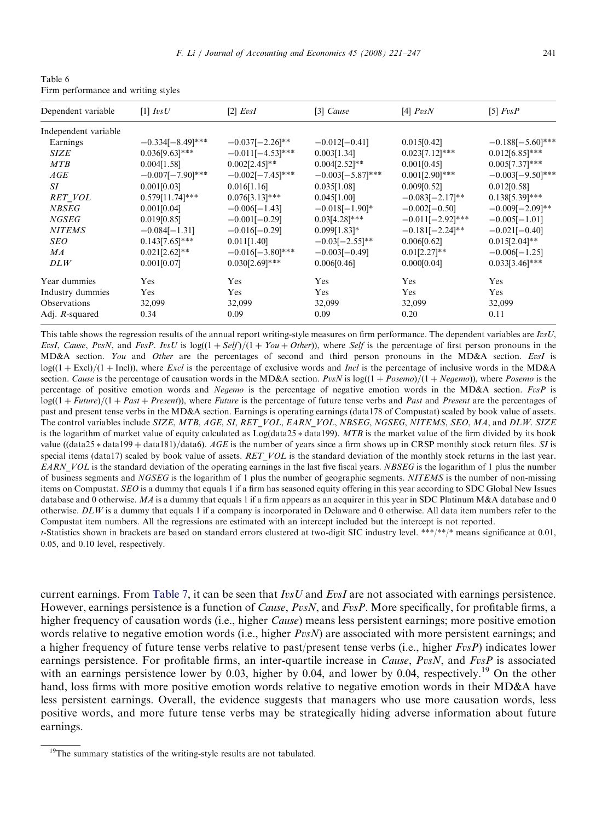<span id="page-20-0"></span>Table 6 Firm performance and writing styles

| Dependent variable   | $[1]$ $IvsU$        | $[2]$ EvsI          | [3] $Cause$        | $[4]$ $Pv$ s $N$    | $[5]$ $FvSP$        |
|----------------------|---------------------|---------------------|--------------------|---------------------|---------------------|
| Independent variable |                     |                     |                    |                     |                     |
| Earnings             | $-0.334[-8.49]$ *** | $-0.037[-2.26]$ **  | $-0.012[-0.41]$    | 0.015[0.42]         | $-0.188[-5.60]$ *** |
| <b>SIZE</b>          | $0.036[9.63]$ ***   | $-0.011[-4.53]$ *** | 0.003[1.34]        | $0.023[7.12]$ ***   | $0.012[6.85]***$    |
| MTB                  | 0.004[1.58]         | $0.002[2.45]$ **    | $0.004[2.52]**$    | 0.001[0.45]         | $0.005[7.37]***$    |
| AGE                  | $-0.007[-7.90]$ *** | $-0.002[-7.45]$ *** | $-0.003[-5.87]***$ | $0.001[2.90]$ ***   | $-0.003[-9.50]***$  |
| SI                   | 0.001[0.03]         | 0.016[1.16]         | 0.035[1.08]        | 0.009[0.52]         | 0.012[0.58]         |
| RET VOL              | $0.579[11.74]$ ***  | $0.076[3.13]***$    | 0.045[1.00]        | $-0.083[-2.17]**$   | $0.138[5.39]$ ***   |
| <b>NBSEG</b>         | 0.001[0.04]         | $-0.006[-1.43]$     | $-0.018[-1.90]*$   | $-0.002[-0.50]$     | $-0.009[-2.09]$ **  |
| NGSEG                | 0.019[0.85]         | $-0.001[-0.29]$     | $0.03[4.28]***$    | $-0.011[-2.92]$ *** | $-0.005[-1.01]$     |
| <b>NITEMS</b>        | $-0.084[-1.31]$     | $-0.016[-0.29]$     | $0.099[1.83]*$     | $-0.181[-2.24]$ **  | $-0.021[-0.40]$     |
| <b>SEO</b>           | $0.143[7.65]***$    | 0.011[1.40]         | $-0.03[-2.55]$ **  | 0.006[0.62]         | $0.015[2.04]**$     |
| МA                   | $0.021[2.62]**$     | $-0.016[-3.80]$ *** | $-0.003[-0.49]$    | $0.01[2.27]**$      | $-0.006[-1.25]$     |
| DLW                  | 0.001[0.07]         | $0.030[2.69]$ ***   | 0.006[0.46]        | 0.000[0.04]         | $0.033[3.46]$ ***   |
| Year dummies         | <b>Yes</b>          | <b>Yes</b>          | Yes                | <b>Yes</b>          | Yes                 |
| Industry dummies     | <b>Yes</b>          | <b>Yes</b>          | Yes                | <b>Yes</b>          | Yes                 |
| Observations         | 32,099              | 32,099              | 32,099             | 32,099              | 32,099              |
| Adj. $R$ -squared    | 0.34                | 0.09                | 0.09               | 0.20                | 0.11                |

This table shows the regression results of the annual report writing-style measures on firm performance. The dependent variables are IvsU, EvsI, Cause, PvsN, and FvsP. IvsU is  $log((1+Self)/(1+ You + Other)$ , where Self is the percentage of first person pronouns in the MD&A section. You and Other are the percentages of second and third person pronouns in the MD&A section. EvsI is  $log((1 + ExcI)/(1 + IncI))$ , where *Excl* is the percentage of exclusive words and *Incl* is the percentage of inclusive words in the MD&A section. Cause is the percentage of causation words in the MD&A section. PvsN is  $log((1 + Posemo)/(1 + Negemo))$ , where Posemo is the percentage of positive emotion words and Negemo is the percentage of negative emotion words in the MD&A section. FvsP is  $log((1 + Future)/(1 + Past + Present)$ , where Future is the percentage of future tense verbs and Past and Present are the percentages of past and present tense verbs in the MD&A section. Earnings is operating earnings (data178 of Compustat) scaled by book value of assets. The control variables include SIZE, MTB, AGE, SI, RET\_VOL, EARN\_VOL, NBSEG, NGSEG, NITEMS, SEO, MA, and DLW. SIZE is the logarithm of market value of equity calculated as  $Log(data25 * data199)$ . MTB is the market value of the firm divided by its book value ( $(data25 * data199 + data181)/data6$ ). AGE is the number of years since a firm shows up in CRSP monthly stock return files. SI is special items (data17) scaled by book value of assets. RET VOL is the standard deviation of the monthly stock returns in the last year. EARN VOL is the standard deviation of the operating earnings in the last five fiscal years. NBSEG is the logarithm of 1 plus the number of business segments and NGSEG is the logarithm of 1 plus the number of geographic segments. NITEMS is the number of non-missing items on Compustat. SEO is a dummy that equals 1 if a firm has seasoned equity offering in this year according to SDC Global New Issues database and 0 otherwise. MA is a dummy that equals 1 if a firm appears as an acquirer in this year in SDC Platinum M&A database and 0 otherwise.  $DLW$  is a dummy that equals 1 if a company is incorporated in Delaware and 0 otherwise. All data item numbers refer to the Compustat item numbers. All the regressions are estimated with an intercept included but the intercept is not reported. t-Statistics shown in brackets are based on standard errors clustered at two-digit SIC industry level. \*\*\*/\*\*/\* means significance at 0.01, 0.05, and 0.10 level, respectively.

current earnings. From [Table 7,](#page-21-0) it can be seen that  $IvsU$  and  $EvsI$  are not associated with earnings persistence. However, earnings persistence is a function of *Cause*, *PvsN*, and *FvsP*. More specifically, for profitable firms, a higher frequency of causation words (i.e., higher Cause) means less persistent earnings; more positive emotion words relative to negative emotion words (i.e., higher PvsN) are associated with more persistent earnings; and a higher frequency of future tense verbs relative to past/present tense verbs (i.e., higher FvsP) indicates lower earnings persistence. For profitable firms, an inter-quartile increase in *Cause*, PvsN, and FvsP is associated with an earnings persistence lower by 0.03, higher by 0.04, and lower by 0.04, respectively.<sup>19</sup> On the other hand, loss firms with more positive emotion words relative to negative emotion words in their MD&A have less persistent earnings. Overall, the evidence suggests that managers who use more causation words, less positive words, and more future tense verbs may be strategically hiding adverse information about future earnings.

<sup>&</sup>lt;sup>19</sup>The summary statistics of the writing-style results are not tabulated.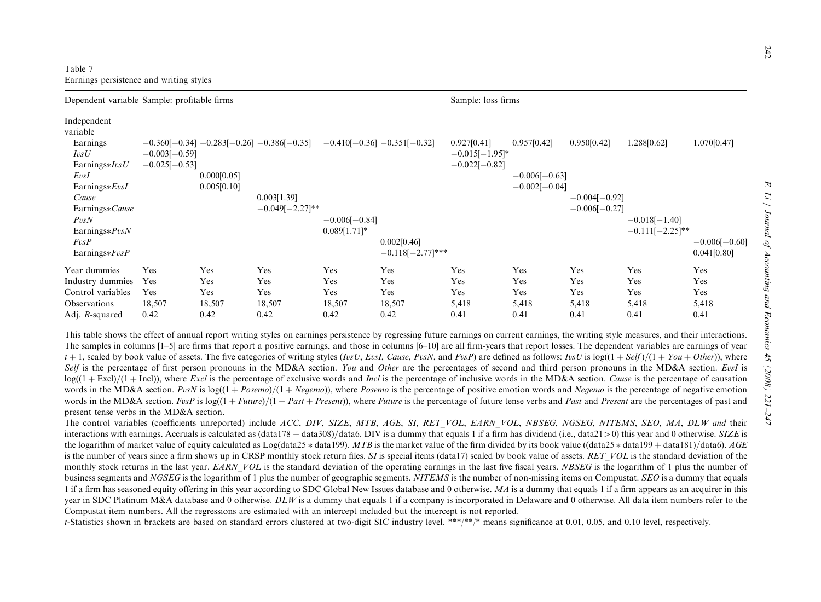<span id="page-21-0"></span>Table 7Earnings persistence and writing styles

| Dependent variable Sample: profitable firms |                 |             | Sample: loss firms                                                      |                 |                     |                  |                 |                 |                   |                 |
|---------------------------------------------|-----------------|-------------|-------------------------------------------------------------------------|-----------------|---------------------|------------------|-----------------|-----------------|-------------------|-----------------|
| Independent<br>variable                     |                 |             |                                                                         |                 |                     |                  |                 |                 |                   |                 |
| Earnings                                    |                 |             | $-0.360[-0.34] -0.283[-0.26] -0.386[-0.35] -0.410[-0.36] -0.351[-0.32]$ |                 |                     | 0.927[0.41]      | 0.957[0.42]     | 0.950[0.42]     | 1.288[0.62]       | 1.070[0.47]     |
| I vs U                                      | $-0.003[-0.59]$ |             |                                                                         |                 |                     | $-0.015[-1.95]*$ |                 |                 |                   |                 |
| Earnings $*IvsU$                            | $-0.025[-0.53]$ |             |                                                                         |                 |                     | $-0.022[-0.82]$  |                 |                 |                   |                 |
| EvsI                                        |                 | 0.000[0.05] |                                                                         |                 |                     |                  | $-0.006[-0.63]$ |                 |                   |                 |
| Earnings $*EvsI$                            |                 | 0.005[0.10] |                                                                         |                 |                     |                  | $-0.002[-0.04]$ |                 |                   |                 |
| Cause                                       |                 |             | 0.003[1.39]                                                             |                 |                     |                  |                 | $-0.004[-0.92]$ |                   |                 |
| Earnings*Cause                              |                 |             | $-0.049[-2.27]**$                                                       |                 |                     |                  |                 | $-0.006[-0.27]$ |                   |                 |
| PvsN                                        |                 |             |                                                                         | $-0.006[-0.84]$ |                     |                  |                 |                 | $-0.018[-1.40]$   |                 |
| Earnings $*PvsN$                            |                 |             |                                                                         | $0.089[1.71]*$  |                     |                  |                 |                 | $-0.111[-2.25]**$ |                 |
| FvSP                                        |                 |             |                                                                         |                 | 0.002[0.46]         |                  |                 |                 |                   | $-0.006[-0.60]$ |
| Earnings* $FvsP$                            |                 |             |                                                                         |                 | $-0.118[-2.77]$ *** |                  |                 |                 |                   | 0.041[0.80]     |
| Year dummies                                | Yes             | Yes         | Yes                                                                     | Yes             | Yes                 | Yes              | Yes             | Yes             | Yes               | Yes             |
| Industry dummies                            | Yes             | Yes         | Yes                                                                     | Yes             | Yes                 | Yes              | Yes             | Yes             | Yes               | Yes             |
| Control variables                           | <b>Yes</b>      | Yes         | Yes                                                                     | Yes             | Yes                 | Yes              | Yes             | Yes             | Yes               | Yes             |
| Observations                                | 18,507          | 18,507      | 18,507                                                                  | 18,507          | 18,507              | 5,418            | 5,418           | 5,418           | 5,418             | 5,418           |
| Adj. $R$ -squared                           | 0.42            | 0.42        | 0.42                                                                    | 0.42            | 0.42                | 0.41             | 0.41            | 0.41            | 0.41              | 0.41            |

This table shows the effect of annual report writing styles on earnings persistence by regressing future earnings on current earnings, the writing style measures, and their interactions. The samples in columns [1–5] are firms that report <sup>a</sup> positive earnings, and those in columns [6–10] are all firm-years that report losses. The dependent variables are earnings of year  $t + 1$ , scaled by book value of assets. The five categories of writing styles (IvsU, EvsI, Cause, PvsN, and FvsP) are defined as follows: IvsU is  $log((1 + Self)/(1 + You + Other)$ ), where Self is the percentage of first person pronouns in the MD&A section. You and Other are the percentages of second and third person pronouns in the MD&A section. EvsI is  $log((1 + Exc))/(1 + Inc))$ , where *Excl* is the percentage of exclusive words and *Incl* is the percentage of inclusive words in the MD&A section. *Cause* is the percentage of causation words in the MD&A section. PvsN is log( $(1 + Posemo)/(1 + Negemo)$ ), where Posemo is the percentage of positive emotion words and Negemo is the percentage of negative emotion words in the MD&A section. FvsP is  $log((1 + Future)/(1 + Past + Present)$ , where Future is the percentage of future tense verbs and Past and Present are the percentages of past and present tense verbs in the MD&A section.

The control variables (coefficients unreported) include ACC, DIV, SIZE, MTB, AGE, SI, RET VOL, EARN VOL, NBSEG, NGSEG, NITEMS, SEO, MA, DLW and their interactions with earnings. Accruals is calculated as  $\frac{data178 - data308}{data6}$ . DIV is a dummy that equals 1 if a firm has dividend (i.e., data21 > 0) this year and 0 otherwise. SIZE is the logarithm of market value of equity calculated as Log(data25 \* data199). MTB is the market value of the firm divided by its book value ((data25 \* data199 + data181)/data6). AGE is the number of years since a firm shows up in CRSP monthly stock return files. SI is special items (data17) scaled by book value of assets. RET VOL is the standard deviation of the monthly stock returns in the last year. EARN\_VOL is the standard deviation of the operating earnings in the last five fiscal years. NBSEG is the logarithm of 1 plus the number of business segments and NGSEG is the logarithm of 1 plus the number of geographic segments. NITEMS is the number of non-missing items on Compustat. SEO is a dummy that equals 1 if a firm has seasoned equity offering in this year according to SDC Global New Issues database and 0 otherwise. MA is a dummy that equals 1 if a firm appears as an acquirer in this year in SDC Platinum M&A database and 0 otherwise.  $DLW$  is a dummy that equals 1 if a company is incorporated in Delaware and 0 otherwise. All data item numbers refer to the Compustat item numbers. All the regressions are estimated with an intercept included but the intercept is not reported.

<sup>t</sup>-Statistics shown in brackets are based on standard errors clustered at two-digit SIC industry level. \*\*\*/\*\*/\* means significance at 0.01, 0.05, and 0.10 level, respectively.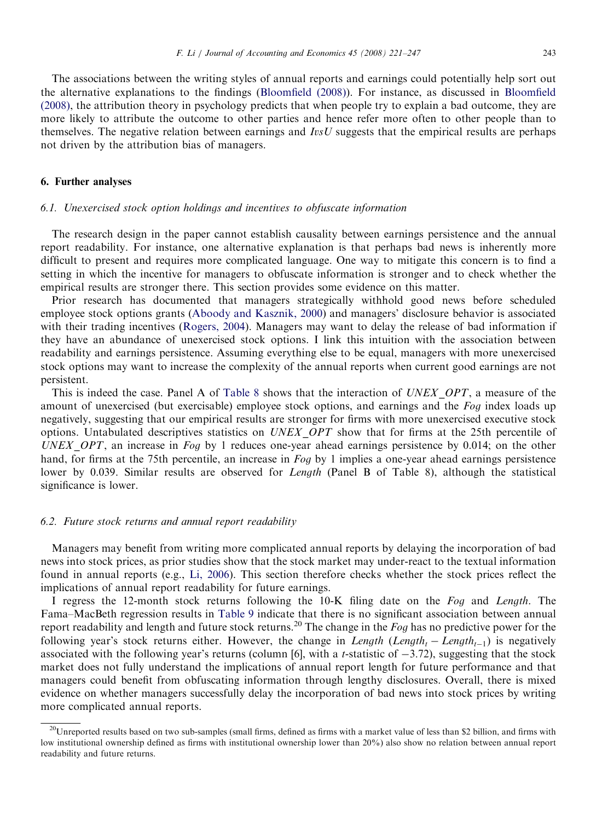The associations between the writing styles of annual reports and earnings could potentially help sort out the alternative explanations to the findings [\(Bloomfield \(2008\)](#page-25-0)). For instance, as discussed in [Bloomfield](#page-25-0) [\(2008\)](#page-25-0), the attribution theory in psychology predicts that when people try to explain a bad outcome, they are more likely to attribute the outcome to other parties and hence refer more often to other people than to themselves. The negative relation between earnings and  $IvsU$  suggests that the empirical results are perhaps not driven by the attribution bias of managers.

# 6. Further analyses

#### 6.1. Unexercised stock option holdings and incentives to obfuscate information

The research design in the paper cannot establish causality between earnings persistence and the annual report readability. For instance, one alternative explanation is that perhaps bad news is inherently more difficult to present and requires more complicated language. One way to mitigate this concern is to find a setting in which the incentive for managers to obfuscate information is stronger and to check whether the empirical results are stronger there. This section provides some evidence on this matter.

Prior research has documented that managers strategically withhold good news before scheduled employee stock options grants ([Aboody and Kasznik, 2000\)](#page-25-0) and managers' disclosure behavior is associated with their trading incentives [\(Rogers, 2004\)](#page-26-0). Managers may want to delay the release of bad information if they have an abundance of unexercised stock options. I link this intuition with the association between readability and earnings persistence. Assuming everything else to be equal, managers with more unexercised stock options may want to increase the complexity of the annual reports when current good earnings are not persistent.

This is indeed the case. Panel A of [Table 8](#page-23-0) shows that the interaction of UNEX OPT, a measure of the amount of unexercised (but exercisable) employee stock options, and earnings and the Fog index loads up negatively, suggesting that our empirical results are stronger for firms with more unexercised executive stock options. Untabulated descriptives statistics on UNEX OPT show that for firms at the 25th percentile of UNEX OPT, an increase in Fog by 1 reduces one-year ahead earnings persistence by 0.014; on the other hand, for firms at the 75th percentile, an increase in Fog by 1 implies a one-year ahead earnings persistence lower by 0.039. Similar results are observed for *Length* (Panel B of Table 8), although the statistical significance is lower.

# 6.2. Future stock returns and annual report readability

Managers may benefit from writing more complicated annual reports by delaying the incorporation of bad news into stock prices, as prior studies show that the stock market may under-react to the textual information found in annual reports (e.g., [Li, 2006](#page-26-0)). This section therefore checks whether the stock prices reflect the implications of annual report readability for future earnings.

I regress the 12-month stock returns following the 10-K filing date on the Fog and Length. The Fama–MacBeth regression results in [Table 9](#page-24-0) indicate that there is no significant association between annual report readability and length and future stock returns.<sup>20</sup> The change in the Fog has no predictive power for the following year's stock returns either. However, the change in Length (Length<sub>t</sub> – Length<sub>t-1</sub>) is negatively associated with the following year's returns (column [6], with a *t*-statistic of  $-3.72$ ), suggesting that the stock market does not fully understand the implications of annual report length for future performance and that managers could benefit from obfuscating information through lengthy disclosures. Overall, there is mixed evidence on whether managers successfully delay the incorporation of bad news into stock prices by writing more complicated annual reports.

 $20$ Unreported results based on two sub-samples (small firms, defined as firms with a market value of less than \$2 billion, and firms with low institutional ownership defined as firms with institutional ownership lower than 20%) also show no relation between annual report readability and future returns.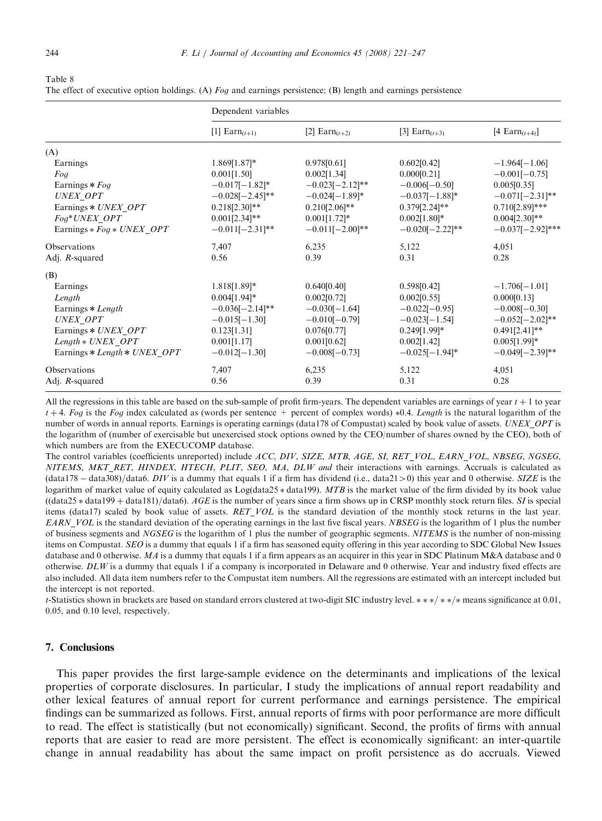<span id="page-23-0"></span>Table 8

|                              | Dependent variables       |                           |                           |                            |  |  |
|------------------------------|---------------------------|---------------------------|---------------------------|----------------------------|--|--|
|                              | [1] $\text{Earn}_{(t+1)}$ | [2] $\text{Earn}_{(t+2)}$ | [3] $\text{Earn}_{(t+3)}$ | [4 $\text{Earn}_{(t+4)}$ ] |  |  |
| (A)                          |                           |                           |                           |                            |  |  |
| Earnings                     | $1.869[1.87]*$            | 0.978[0.61]               | 0.602[0.42]               | $-1.964[-1.06]$            |  |  |
| Fog                          | 0.001[1.50]               | 0.002[1.34]               | 0.000[0.21]               | $-0.001[-0.75]$            |  |  |
| Earnings $*$ Fog             | $-0.017[-1.82]*$          | $-0.023[-2.12]$ **        | $-0.006[-0.50]$           | 0.005[0.35]                |  |  |
| <b>UNEX OPT</b>              | $-0.028[-2.45]$ **        | $-0.024[-1.89]*$          | $-0.037[-1.88]*$          | $-0.071[-2.31]**$          |  |  |
| Earnings * UNEX OPT          | $0.218[2.30]$ **          | $0.210[2.06]$ **          | $0.379[2.24]**$           | $0.710[2.89]$ ***          |  |  |
| Fog*UNEX OPT                 | $0.001[2.34]$ **          | $0.001[1.72]*$            | $0.002[1.80]*$            | $0.004[2.30]**$            |  |  |
| Earnings $* Fog * UNEX$ OPT  | $-0.011[-2.31]**$         | $-0.011[-2.00]**$         | $-0.020[-2.22]**$         | $-0.037[-2.92]***$         |  |  |
| <b>Observations</b>          | 7,407                     | 6,235                     | 5,122                     | 4,051                      |  |  |
| Adj. R-squared               | 0.56                      | 0.39                      | 0.31                      | 0.28                       |  |  |
| (B)                          |                           |                           |                           |                            |  |  |
| Earnings                     | $1.818[1.89]*$            | 0.640[0.40]               | 0.598[0.42]               | $-1.706[-1.01]$            |  |  |
| Length                       | $0.004[1.94]*$            | 0.002[0.72]               | 0.002[0.55]               | 0.000[0.13]                |  |  |
| Earnings * Length            | $-0.036[-2.14]$ **        | $-0.030[-1.64]$           | $-0.022[-0.95]$           | $-0.008[-0.30]$            |  |  |
| <b>UNEX OPT</b>              | $-0.015[-1.30]$           | $-0.010[-0.79]$           | $-0.023[-1.54]$           | $-0.052[-2.02]**$          |  |  |
| Earnings * UNEX OPT          | 0.123[1.31]               | 0.076[0.77]               | $0.249[1.99]*$            | $0.491[2.41]**$            |  |  |
| $Length * UNEX$ OPT          | 0.001[1.17]               | 0.001[0.62]               | 0.002[1.42]               | $0.005[1.99]*$             |  |  |
| Earnings * Length * UNEX OPT | $-0.012[-1.30]$           | $-0.008[-0.73]$           | $-0.025[-1.94]*$          | $-0.049[-2.39]**$          |  |  |
| Observations                 | 7,407                     | 6,235                     | 5,122                     | 4,051                      |  |  |
| Adj. R-squared               | 0.56                      | 0.39                      | 0.31                      | 0.28                       |  |  |
|                              |                           |                           |                           |                            |  |  |

The effect of executive option holdings. (A) Fog and earnings persistence; (B) length and earnings persistence

All the regressions in this table are based on the sub-sample of profit firm-years. The dependent variables are earnings of year  $t + 1$  to year  $t + 4$ . Fog is the Fog index calculated as (words per sentence + percent of complex words)  $*0.4$ . Length is the natural logarithm of the number of words in annual reports. Earnings is operating earnings (data178 of Compustat) scaled by book value of assets. UNEX OPT is the logarithm of (number of exercisable but unexercised stock options owned by the CEO/number of shares owned by the CEO), both of which numbers are from the EXECUCOMP database.

The control variables (coefficients unreported) include ACC, DIV, SIZE, MTB, AGE, SI, RET\_VOL, EARN\_VOL, NBSEG, NGSEG, NITEMS, MKT\_RET, HINDEX, HTECH, PLIT, SEO, MA, DLW and their interactions with earnings. Accruals is calculated as  $\frac{d \text{data308}}{d \text{ata308}}$  (data6. *DIV* is a dummy that equals 1 if a firm has dividend (i.e., data21 > 0) this year and 0 otherwise. SIZE is the logarithm of market value of equity calculated as  $Log(data25 * data199)$ . MTB is the market value of the firm divided by its book value  $(data25 * data199 + data181)/data6$ . AGE is the number of years since a firm shows up in CRSP monthly stock return files. SI is special items (data17) scaled by book value of assets. RET VOL is the standard deviation of the monthly stock returns in the last year. EARN VOL is the standard deviation of the operating earnings in the last five fiscal years. NBSEG is the logarithm of 1 plus the number of business segments and NGSEG is the logarithm of 1 plus the number of geographic segments. NITEMS is the number of non-missing items on Compustat. SEO is a dummy that equals 1 if a firm has seasoned equity offering in this year according to SDC Global New Issues database and 0 otherwise. MA is a dummy that equals 1 if a firm appears as an acquirer in this year in SDC Platinum M&A database and 0 otherwise.  $DLW$  is a dummy that equals 1 if a company is incorporated in Delaware and 0 otherwise. Year and industry fixed effects are also included. All data item numbers refer to the Compustat item numbers. All the regressions are estimated with an intercept included but the intercept is not reported.

*t*-Statistics shown in brackets are based on standard errors clustered at two-digit SIC industry level.  $**$  /  $**$  /  $*$  means significance at 0.01, 0.05, and 0.10 level, respectively.

# 7. Conclusions

This paper provides the first large-sample evidence on the determinants and implications of the lexical properties of corporate disclosures. In particular, I study the implications of annual report readability and other lexical features of annual report for current performance and earnings persistence. The empirical findings can be summarized as follows. First, annual reports of firms with poor performance are more difficult to read. The effect is statistically (but not economically) significant. Second, the profits of firms with annual reports that are easier to read are more persistent. The effect is economically significant: an inter-quartile change in annual readability has about the same impact on profit persistence as do accruals. Viewed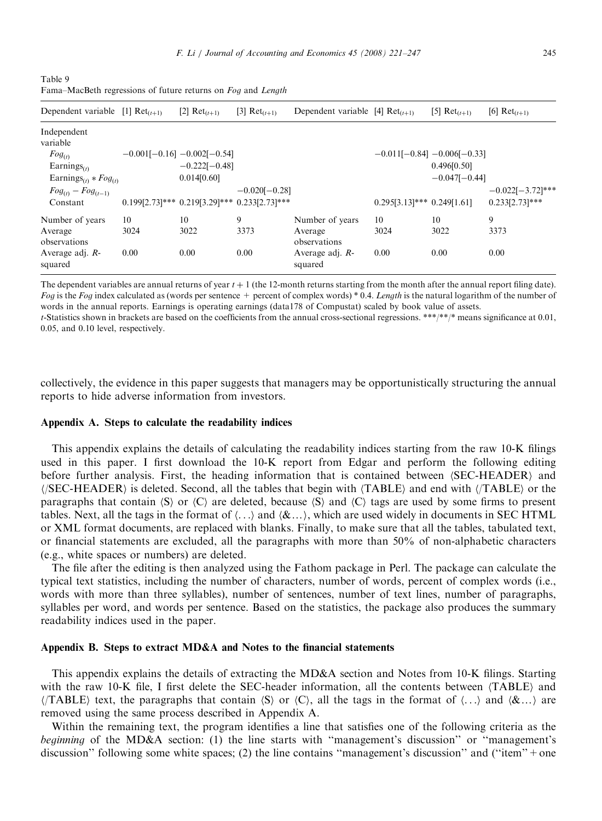<span id="page-24-0"></span>Table 9 Fama–MacBeth regressions of future returns on Fog and Length

| Dependent variable [1] $Ret_{(t+1)}$  |      | [2] $Ret_{(t+1)}$                            | [3] $Ret_{(t+1)}$ | Dependent variable [4] $Ret_{(t+1)}$ |                             | [5] $Ret_{(t+1)}$             | [6] $Ret_{(t+1)}$   |
|---------------------------------------|------|----------------------------------------------|-------------------|--------------------------------------|-----------------------------|-------------------------------|---------------------|
| Independent                           |      |                                              |                   |                                      |                             |                               |                     |
| variable                              |      |                                              |                   |                                      |                             |                               |                     |
| $Fog_{(t)}$                           |      | $-0.001[-0.16] -0.002[-0.54]$                |                   |                                      |                             | $-0.011[-0.84] -0.006[-0.33]$ |                     |
| Earnings $_{(t)}$                     |      | $-0.222[-0.48]$                              |                   |                                      |                             | 0.496[0.50]                   |                     |
| Earnings <sub>(t)</sub> * $Fog_{(t)}$ |      | 0.014[0.60]                                  |                   |                                      |                             | $-0.047[-0.44]$               |                     |
| $Fog_{(t)} - Fog_{(t-1)}$             |      |                                              | $-0.020[-0.28]$   |                                      |                             |                               | $-0.022[-3.72]$ *** |
| Constant                              |      | $0.199[2.73]***0.219[3.29]***0.233[2.73]***$ |                   |                                      | $0.295[3.13]***0.249[1.61]$ |                               | $0.233[2.73]$ ***   |
| Number of years                       | 10   | 10                                           | 9                 | Number of years                      | 10                          | 10                            | 9                   |
| Average                               | 3024 | 3022                                         | 3373              | Average                              | 3024                        | 3022                          | 3373                |
| observations                          |      |                                              |                   | observations                         |                             |                               |                     |
| Average adj. $R$ -<br>squared         | 0.00 | 0.00                                         | 0.00              | Average adj. $R$ -<br>squared        | 0.00                        | 0.00                          | 0.00                |

The dependent variables are annual returns of year  $t + 1$  (the 12-month returns starting from the month after the annual report filing date). Fog is the Fog index calculated as (words per sentence + percent of complex words) \* 0.4. Length is the natural logarithm of the number of words in the annual reports. Earnings is operating earnings (data178 of Compustat) scaled by book value of assets.

*t*-Statistics shown in brackets are based on the coefficients from the annual cross-sectional regressions. \*\*\*/\*\*/\* means significance at 0.01, 0.05, and 0.10 level, respectively.

collectively, the evidence in this paper suggests that managers may be opportunistically structuring the annual reports to hide adverse information from investors.

## Appendix A. Steps to calculate the readability indices

This appendix explains the details of calculating the readability indices starting from the raw 10-K filings used in this paper. I first download the 10-K report from Edgar and perform the following editing before further analysis. First, the heading information that is contained between (SEC-HEADER) and  $\langle$ /SEC-HEADER) is deleted. Second, all the tables that begin with  $\langle$ TABLE $\rangle$  and end with  $\langle$ /TABLE $\rangle$  or the paragraphs that contain  $\langle S \rangle$  or  $\langle C \rangle$  are deleted, because  $\langle S \rangle$  and  $\langle C \rangle$  tags are used by some firms to present tables. Next, all the tags in the format of  $\langle \ldots \rangle$  and  $\langle \& \ldots \rangle$ , which are used widely in documents in SEC HTML or XML format documents, are replaced with blanks. Finally, to make sure that all the tables, tabulated text, or financial statements are excluded, all the paragraphs with more than 50% of non-alphabetic characters (e.g., white spaces or numbers) are deleted.

The file after the editing is then analyzed using the Fathom package in Perl. The package can calculate the typical text statistics, including the number of characters, number of words, percent of complex words (i.e., words with more than three syllables), number of sentences, number of text lines, number of paragraphs, syllables per word, and words per sentence. Based on the statistics, the package also produces the summary readability indices used in the paper.

#### Appendix B. Steps to extract MD&A and Notes to the financial statements

This appendix explains the details of extracting the MD&A section and Notes from 10-K filings. Starting with the raw 10-K file, I first delete the SEC-header information, all the contents between  $(TABLE)$  and  $\langle$ TABLE) text, the paragraphs that contain  $\langle S \rangle$  or  $\langle C \rangle$ , all the tags in the format of  $\langle ... \rangle$  and  $\langle \& ... \rangle$  are removed using the same process described in Appendix A.

Within the remaining text, the program identifies a line that satisfies one of the following criteria as the beginning of the MD&A section: (1) the line starts with "management's discussion" or "management's discussion'' following some white spaces; (2) the line contains ''management's discussion'' and (''item''+one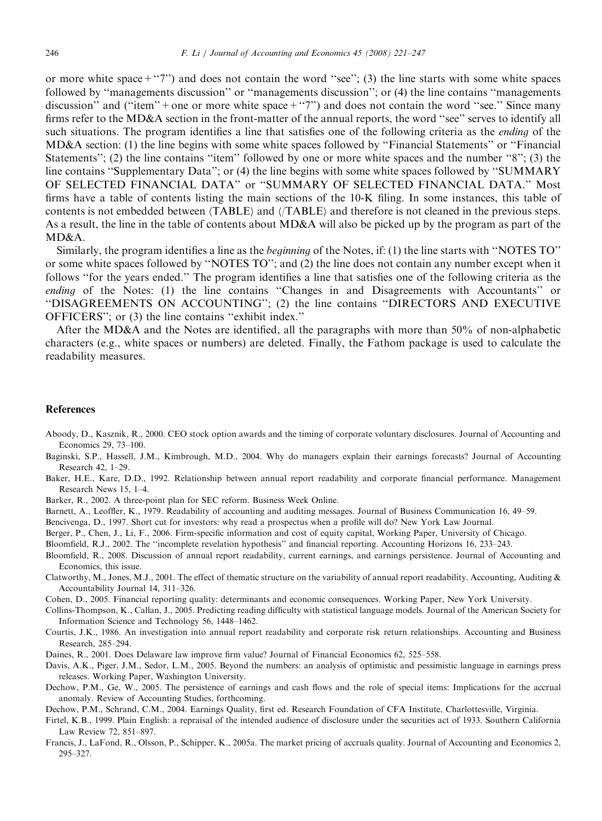<span id="page-25-0"></span>or more white space+''7'') and does not contain the word ''see''; (3) the line starts with some white spaces followed by ''managements discussion'' or ''managements discussion''; or (4) the line contains ''managements discussion" and ("item" + one or more white space  $+$ "7") and does not contain the word "see." Since many firms refer to the MD&A section in the front-matter of the annual reports, the word ''see'' serves to identify all such situations. The program identifies a line that satisfies one of the following criteria as the *ending* of the MD&A section: (1) the line begins with some white spaces followed by ''Financial Statements'' or ''Financial Statements''; (2) the line contains "item" followed by one or more white spaces and the number " $8$ "; (3) the line contains ''Supplementary Data''; or (4) the line begins with some white spaces followed by ''SUMMARY OF SELECTED FINANCIAL DATA'' or ''SUMMARY OF SELECTED FINANCIAL DATA.'' Most firms have a table of contents listing the main sections of the 10-K filing. In some instances, this table of contents is not embedded between  $\langle TABLE \rangle$  and  $\langle \langle TABLE \rangle$  and therefore is not cleaned in the previous steps. As a result, the line in the table of contents about MD&A will also be picked up by the program as part of the MD&A.

Similarly, the program identifies a line as the beginning of the Notes, if: (1) the line starts with ''NOTES TO'' or some white spaces followed by ''NOTES TO''; and (2) the line does not contain any number except when it follows ''for the years ended.'' The program identifies a line that satisfies one of the following criteria as the ending of the Notes: (1) the line contains ''Changes in and Disagreements with Accountants'' or ''DISAGREEMENTS ON ACCOUNTING''; (2) the line contains ''DIRECTORS AND EXECUTIVE OFFICERS''; or (3) the line contains ''exhibit index.''

After the MD&A and the Notes are identified, all the paragraphs with more than 50% of non-alphabetic characters (e.g., white spaces or numbers) are deleted. Finally, the Fathom package is used to calculate the readability measures.

#### References

- Aboody, D., Kasznik, R., 2000. CEO stock option awards and the timing of corporate voluntary disclosures. Journal of Accounting and Economics 29, 73–100.
- Baginski, S.P., Hassell, J.M., Kimbrough, M.D., 2004. Why do managers explain their earnings forecasts? Journal of Accounting Research 42, 1–29.
- Baker, H.E., Kare, D.D., 1992. Relationship between annual report readability and corporate financial performance. Management Research News 15, 1–4.
- Barker, R., 2002. A three-point plan for SEC reform. Business Week Online.
- Barnett, A., Leoffler, K., 1979. Readability of accounting and auditing messages. Journal of Business Communication 16, 49–59.
- Bencivenga, D., 1997. Short cut for investors: why read a prospectus when a profile will do? New York Law Journal.
- Berger, P., Chen, J., Li, F., 2006. Firm-specific information and cost of equity capital, Working Paper, University of Chicago.
- Bloomfield, R.J., 2002. The ''incomplete revelation hypothesis'' and financial reporting. Accounting Horizons 16, 233–243.
- Bloomfield, R., 2008. Discussion of annual report readability, current earnings, and earnings persistence. Journal of Accounting and Economics, this issue.
- Clatworthy, M., Jones, M.J., 2001. The effect of thematic structure on the variability of annual report readability. Accounting, Auditing & Accountability Journal 14, 311–326.
- Cohen, D., 2005. Financial reporting quality: determinants and economic consequences. Working Paper, New York University.
- Collins-Thompson, K., Callan, J., 2005. Predicting reading difficulty with statistical language models. Journal of the American Society for Information Science and Technology 56, 1448–1462.
- Courtis, J.K., 1986. An investigation into annual report readability and corporate risk return relationships. Accounting and Business Research, 285–294.
- Daines, R., 2001. Does Delaware law improve firm value? Journal of Financial Economics 62, 525–558.
- Davis, A.K., Piger, J.M., Sedor, L.M., 2005. Beyond the numbers: an analysis of optimistic and pessimistic language in earnings press releases. Working Paper, Washington University.
- Dechow, P.M., Ge, W., 2005. The persistence of earnings and cash flows and the role of special items: Implications for the accrual anomaly. Review of Accounting Studies, forthcoming.
- Dechow, P.M., Schrand, C.M., 2004. Earnings Quality, first ed. Research Foundation of CFA Institute, Charlottesville, Virginia.
- Firtel, K.B., 1999. Plain English: a repraisal of the intended audience of disclosure under the securities act of 1933. Southern California Law Review 72, 851–897.
- Francis, J., LaFond, R., Olsson, P., Schipper, K., 2005a. The market pricing of accruals quality. Journal of Accounting and Economics 2, 295–327.